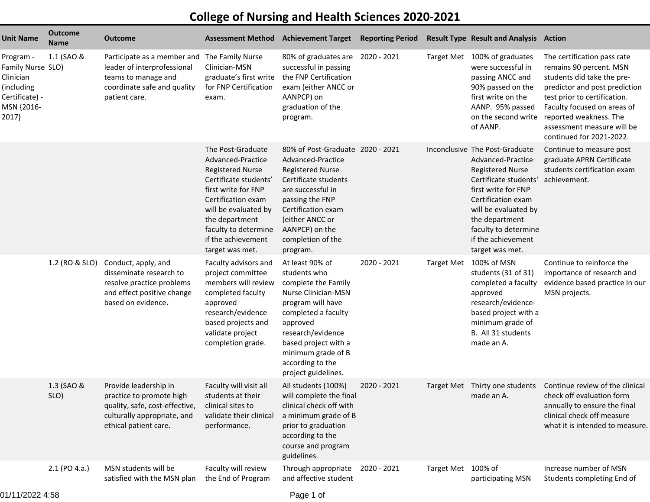## **College of Nursing and Health Sciences 2020-2021**

| <b>Unit Name</b>                                                                                   | <b>Outcome</b><br><b>Name</b> | <b>Outcome</b>                                                                                                                                     | <b>Assessment Method</b>                                                                                                                                                                                                                           | <b>Achievement Target</b>                                                                                                                                                                                                                           | <b>Reporting Period</b> |                   | <b>Result Type Result and Analysis Action</b>                                                                                                                                                                                                                   |                                                                                                                                                                                                                                                                          |
|----------------------------------------------------------------------------------------------------|-------------------------------|----------------------------------------------------------------------------------------------------------------------------------------------------|----------------------------------------------------------------------------------------------------------------------------------------------------------------------------------------------------------------------------------------------------|-----------------------------------------------------------------------------------------------------------------------------------------------------------------------------------------------------------------------------------------------------|-------------------------|-------------------|-----------------------------------------------------------------------------------------------------------------------------------------------------------------------------------------------------------------------------------------------------------------|--------------------------------------------------------------------------------------------------------------------------------------------------------------------------------------------------------------------------------------------------------------------------|
| Program -<br>Family Nurse SLO)<br>Clinician<br>(including<br>Certificate) -<br>MSN {2016-<br>2017} | 1.1 (SAO &                    | Participate as a member and The Family Nurse<br>leader of interprofessional<br>teams to manage and<br>coordinate safe and quality<br>patient care. | Clinician-MSN<br>graduate's first write<br>for FNP Certification<br>exam.                                                                                                                                                                          | 80% of graduates are 2020 - 2021<br>successful in passing<br>the FNP Certification<br>exam (either ANCC or<br>AANPCP) on<br>graduation of the<br>program.                                                                                           |                         |                   | Target Met 100% of graduates<br>were successful in<br>passing ANCC and<br>90% passed on the<br>first write on the<br>AANP. 95% passed<br>on the second write<br>of AANP.                                                                                        | The certification pass rate<br>remains 90 percent. MSN<br>students did take the pre-<br>predictor and post prediction<br>test prior to certification.<br>Faculty focused on areas of<br>reported weakness. The<br>assessment measure will be<br>continued for 2021-2022. |
|                                                                                                    |                               |                                                                                                                                                    | The Post-Graduate<br>Advanced-Practice<br><b>Registered Nurse</b><br>Certificate students'<br>first write for FNP<br>Certification exam<br>will be evaluated by<br>the department<br>faculty to determine<br>if the achievement<br>target was met. | 80% of Post-Graduate 2020 - 2021<br>Advanced-Practice<br><b>Registered Nurse</b><br>Certificate students<br>are successful in<br>passing the FNP<br>Certification exam<br>(either ANCC or<br>AANPCP) on the<br>completion of the<br>program.        |                         |                   | Inconclusive The Post-Graduate<br>Advanced-Practice<br><b>Registered Nurse</b><br>Certificate students'<br>first write for FNP<br>Certification exam<br>will be evaluated by<br>the department<br>faculty to determine<br>if the achievement<br>target was met. | Continue to measure post<br>graduate APRN Certificate<br>students certification exam<br>achievement.                                                                                                                                                                     |
|                                                                                                    | 1.2 (RO & SLO)                | Conduct, apply, and<br>disseminate research to<br>resolve practice problems<br>and effect positive change<br>based on evidence.                    | Faculty advisors and<br>project committee<br>members will review<br>completed faculty<br>approved<br>research/evidence<br>based projects and<br>validate project<br>completion grade.                                                              | At least 90% of<br>students who<br>complete the Family<br>Nurse Clinician-MSN<br>program will have<br>completed a faculty<br>approved<br>research/evidence<br>based project with a<br>minimum grade of B<br>according to the<br>project guidelines. | 2020 - 2021             |                   | Target Met 100% of MSN<br>students (31 of 31)<br>completed a faculty<br>approved<br>research/evidence-<br>based project with a<br>minimum grade of<br>B. All 31 students<br>made an A.                                                                          | Continue to reinforce the<br>importance of research and<br>evidence based practice in our<br>MSN projects.                                                                                                                                                               |
|                                                                                                    | 1.3 (SAO &<br>SLO)            | Provide leadership in<br>practice to promote high<br>quality, safe, cost-effective,<br>culturally appropriate, and<br>ethical patient care.        | Faculty will visit all<br>students at their<br>clinical sites to<br>validate their clinical<br>performance.                                                                                                                                        | All students (100%)<br>will complete the final<br>clinical check off with<br>a minimum grade of B<br>prior to graduation<br>according to the<br>course and program<br>guidelines.                                                                   | 2020 - 2021             |                   | made an A.                                                                                                                                                                                                                                                      | Target Met Thirty one students Continue review of the clinical<br>check off evaluation form<br>annually to ensure the final<br>clinical check off measure<br>what it is intended to measure.                                                                             |
|                                                                                                    | 2.1 (PO 4.a.)                 | MSN students will be<br>satisfied with the MSN plan                                                                                                | Faculty will review<br>the End of Program                                                                                                                                                                                                          | Through appropriate<br>and affective student                                                                                                                                                                                                        | 2020 - 2021             | <b>Target Met</b> | 100% of<br>participating MSN                                                                                                                                                                                                                                    | Increase number of MSN<br>Students completing End of                                                                                                                                                                                                                     |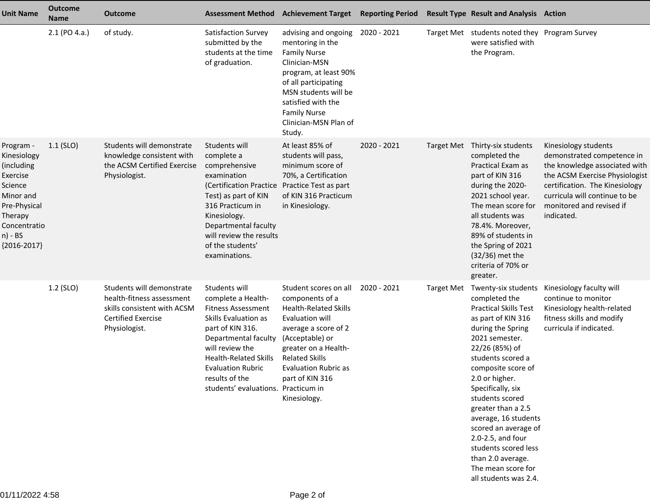| <b>Unit Name</b>                                                                                                                                  | <b>Outcome</b><br>Name | <b>Outcome</b>                                                                                                                      | <b>Assessment Method</b>                                                                                                                                                                                                                                                     | <b>Achievement Target</b>                                                                                                                                                                                                                                 | <b>Reporting Period</b> |            | <b>Result Type Result and Analysis Action</b>                                                                                                                                                                                                                                                                                                                                                                                                   |                                                                                                                                                                                                                                    |
|---------------------------------------------------------------------------------------------------------------------------------------------------|------------------------|-------------------------------------------------------------------------------------------------------------------------------------|------------------------------------------------------------------------------------------------------------------------------------------------------------------------------------------------------------------------------------------------------------------------------|-----------------------------------------------------------------------------------------------------------------------------------------------------------------------------------------------------------------------------------------------------------|-------------------------|------------|-------------------------------------------------------------------------------------------------------------------------------------------------------------------------------------------------------------------------------------------------------------------------------------------------------------------------------------------------------------------------------------------------------------------------------------------------|------------------------------------------------------------------------------------------------------------------------------------------------------------------------------------------------------------------------------------|
|                                                                                                                                                   | 2.1 (PO 4.a.)          | of study.                                                                                                                           | Satisfaction Survey<br>submitted by the<br>students at the time<br>of graduation.                                                                                                                                                                                            | advising and ongoing<br>mentoring in the<br><b>Family Nurse</b><br>Clinician-MSN<br>program, at least 90%<br>of all participating<br>MSN students will be<br>satisfied with the<br><b>Family Nurse</b><br>Clinician-MSN Plan of<br>Study.                 | 2020 - 2021             |            | Target Met students noted they Program Survey<br>were satisfied with<br>the Program.                                                                                                                                                                                                                                                                                                                                                            |                                                                                                                                                                                                                                    |
| Program -<br>Kinesiology<br>(including<br>Exercise<br>Science<br>Minor and<br>Pre-Physical<br>Therapy<br>Concentratio<br>n) - BS<br>${2016-2017}$ | $1.1$ (SLO)            | Students will demonstrate<br>knowledge consistent with<br>the ACSM Certified Exercise<br>Physiologist.                              | Students will<br>complete a<br>comprehensive<br>examination<br>(Certification Practice Practice Test as part<br>Test) as part of KIN<br>316 Practicum in<br>Kinesiology.<br>Departmental faculty<br>will review the results<br>of the students'<br>examinations.             | At least 85% of<br>students will pass,<br>minimum score of<br>70%, a Certification<br>of KIN 316 Practicum<br>in Kinesiology.                                                                                                                             | 2020 - 2021             |            | Target Met Thirty-six students<br>completed the<br>Practical Exam as<br>part of KIN 316<br>during the 2020-<br>2021 school year.<br>The mean score for<br>all students was<br>78.4%. Moreover,<br>89% of students in<br>the Spring of 2021<br>$(32/36)$ met the<br>criteria of 70% or<br>greater.                                                                                                                                               | Kinesiology students<br>demonstrated competence in<br>the knowledge associated with<br>the ACSM Exercise Physiologist<br>certification. The Kinesiology<br>curricula will continue to be<br>monitored and revised if<br>indicated. |
|                                                                                                                                                   | 1.2 (SLO)              | Students will demonstrate<br>health-fitness assessment<br>skills consistent with ACSM<br><b>Certified Exercise</b><br>Physiologist. | Students will<br>complete a Health-<br><b>Fitness Assessment</b><br>Skills Evaluation as<br>part of KIN 316.<br>Departmental faculty<br>will review the<br><b>Health-Related Skills</b><br><b>Evaluation Rubric</b><br>results of the<br>students' evaluations. Practicum in | Student scores on all<br>components of a<br><b>Health-Related Skills</b><br>Evaluation will<br>average a score of 2<br>(Acceptable) or<br>greater on a Health-<br><b>Related Skills</b><br><b>Evaluation Rubric as</b><br>part of KIN 316<br>Kinesiology. | 2020 - 2021             | Target Met | Twenty-six students<br>completed the<br><b>Practical Skills Test</b><br>as part of KIN 316<br>during the Spring<br>2021 semester.<br>22/26 (85%) of<br>students scored a<br>composite score of<br>2.0 or higher.<br>Specifically, six<br>students scored<br>greater than a 2.5<br>average, 16 students<br>scored an average of<br>2.0-2.5, and four<br>students scored less<br>than 2.0 average.<br>The mean score for<br>all students was 2.4. | Kinesiology faculty will<br>continue to monitor<br>Kinesiology health-related<br>fitness skills and modify<br>curricula if indicated.                                                                                              |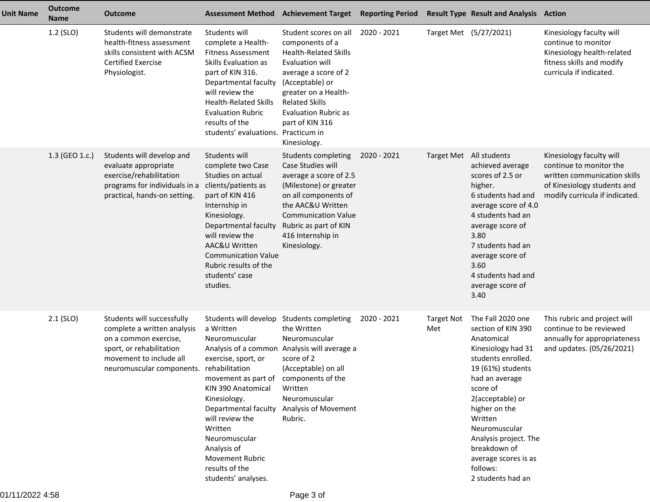| Unit Name | <b>Outcome</b><br><b>Name</b> | <b>Outcome</b>                                                                                                                                                         | <b>Assessment Method</b>                                                                                                                                                                                                                                                                                                             | <b>Achievement Target Reporting Period</b>                                                                                                                                                                                                                |             |                          | <b>Result Type Result and Analysis Action</b>                                                                                                                                                                                                                                                                           |                                                                                                                                                      |
|-----------|-------------------------------|------------------------------------------------------------------------------------------------------------------------------------------------------------------------|--------------------------------------------------------------------------------------------------------------------------------------------------------------------------------------------------------------------------------------------------------------------------------------------------------------------------------------|-----------------------------------------------------------------------------------------------------------------------------------------------------------------------------------------------------------------------------------------------------------|-------------|--------------------------|-------------------------------------------------------------------------------------------------------------------------------------------------------------------------------------------------------------------------------------------------------------------------------------------------------------------------|------------------------------------------------------------------------------------------------------------------------------------------------------|
|           | 1.2 (SLO)                     | Students will demonstrate<br>health-fitness assessment<br>skills consistent with ACSM<br><b>Certified Exercise</b><br>Physiologist.                                    | Students will<br>complete a Health-<br><b>Fitness Assessment</b><br>Skills Evaluation as<br>part of KIN 316.<br>Departmental faculty<br>will review the<br><b>Health-Related Skills</b><br><b>Evaluation Rubric</b><br>results of the<br>students' evaluations. Practicum in                                                         | Student scores on all<br>components of a<br><b>Health-Related Skills</b><br>Evaluation will<br>average a score of 2<br>(Acceptable) or<br>greater on a Health-<br><b>Related Skills</b><br><b>Evaluation Rubric as</b><br>part of KIN 316<br>Kinesiology. | 2020 - 2021 |                          | Target Met (5/27/2021)                                                                                                                                                                                                                                                                                                  | Kinesiology faculty will<br>continue to monitor<br>Kinesiology health-related<br>fitness skills and modify<br>curricula if indicated.                |
|           | 1.3 (GEO 1.c.)                | Students will develop and<br>evaluate appropriate<br>exercise/rehabilitation<br>programs for individuals in a<br>practical, hands-on setting.                          | Students will<br>complete two Case<br>Studies on actual<br>clients/patients as<br>part of KIN 416<br>Internship in<br>Kinesiology.<br>Departmental faculty<br>will review the<br>AAC&U Written<br><b>Communication Value</b><br>Rubric results of the<br>students' case<br>studies.                                                  | Students completing<br>Case Studies will<br>average a score of 2.5<br>(Milestone) or greater<br>on all components of<br>the AAC&U Written<br><b>Communication Value</b><br>Rubric as part of KIN<br>416 Internship in<br>Kinesiology.                     | 2020 - 2021 |                          | Target Met All students<br>achieved average<br>scores of 2.5 or<br>higher.<br>6 students had and<br>average score of 4.0<br>4 students had an<br>average score of<br>3.80<br>7 students had an<br>average score of<br>3.60<br>4 students had and<br>average score of<br>3.40                                            | Kinesiology faculty will<br>continue to monitor the<br>written communication skills<br>of Kinesiology students and<br>modify curricula if indicated. |
|           | $2.1$ (SLO)                   | Students will successfully<br>complete a written analysis<br>on a common exercise,<br>sport, or rehabilitation<br>movement to include all<br>neuromuscular components. | Students will develop<br>a Written<br>Neuromuscular<br>exercise, sport, or<br>rehabilitation<br>movement as part of components of the<br>KIN 390 Anatomical<br>Kinesiology.<br>Departmental faculty<br>will review the<br>Written<br>Neuromuscular<br>Analysis of<br><b>Movement Rubric</b><br>results of the<br>students' analyses. | Students completing<br>the Written<br>Neuromuscular<br>Analysis of a common Analysis will average a<br>score of 2<br>(Acceptable) on all<br>Written<br>Neuromuscular<br><b>Analysis of Movement</b><br>Rubric.                                            | 2020 - 2021 | <b>Target Not</b><br>Met | The Fall 2020 one<br>section of KIN 390<br>Anatomical<br>Kinesiology had 31<br>students enrolled.<br>19 (61%) students<br>had an average<br>score of<br>2(acceptable) or<br>higher on the<br>Written<br>Neuromuscular<br>Analysis project. The<br>breakdown of<br>average scores is as<br>follows:<br>2 students had an | This rubric and project will<br>continue to be reviewed<br>annually for appropriateness<br>and updates. (05/26/2021)                                 |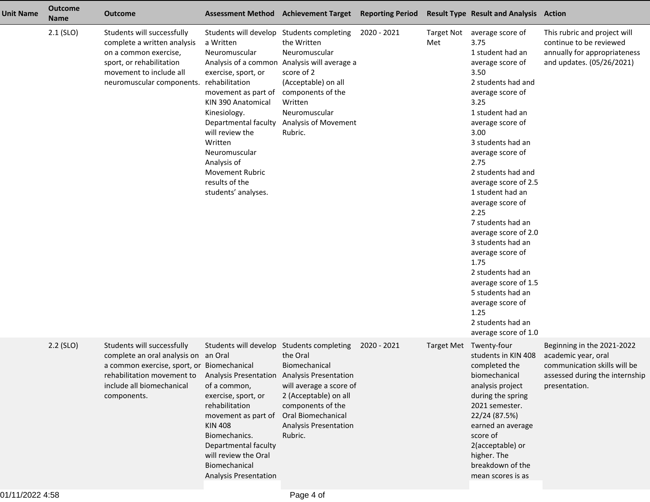| <b>Unit Name</b> | <b>Outcome</b><br><b>Name</b> | <b>Outcome</b>                                                                                                                                                                             |                                                                                                                                                                                                                                                                                                                                              | <b>Assessment Method Achievement Target</b>                                                                                                                                      | <b>Reporting Period</b> |                          | <b>Result Type Result and Analysis Action</b>                                                                                                                                                                                                                                                                                                                                                                                                                                                                                                                      |                                                                                                                                      |
|------------------|-------------------------------|--------------------------------------------------------------------------------------------------------------------------------------------------------------------------------------------|----------------------------------------------------------------------------------------------------------------------------------------------------------------------------------------------------------------------------------------------------------------------------------------------------------------------------------------------|----------------------------------------------------------------------------------------------------------------------------------------------------------------------------------|-------------------------|--------------------------|--------------------------------------------------------------------------------------------------------------------------------------------------------------------------------------------------------------------------------------------------------------------------------------------------------------------------------------------------------------------------------------------------------------------------------------------------------------------------------------------------------------------------------------------------------------------|--------------------------------------------------------------------------------------------------------------------------------------|
|                  | $2.1$ (SLO)                   | Students will successfully<br>complete a written analysis<br>on a common exercise,<br>sport, or rehabilitation<br>movement to include all<br>neuromuscular components. rehabilitation      | Students will develop Students completing<br>a Written<br>Neuromuscular<br>Analysis of a common<br>exercise, sport, or<br>movement as part of<br>KIN 390 Anatomical<br>Kinesiology.<br>Departmental faculty<br>will review the<br>Written<br>Neuromuscular<br>Analysis of<br><b>Movement Rubric</b><br>results of the<br>students' analyses. | the Written<br>Neuromuscular<br>Analysis will average a<br>score of 2<br>(Acceptable) on all<br>components of the<br>Written<br>Neuromuscular<br>Analysis of Movement<br>Rubric. | 2020 - 2021             | <b>Target Not</b><br>Met | average score of<br>3.75<br>1 student had an<br>average score of<br>3.50<br>2 students had and<br>average score of<br>3.25<br>1 student had an<br>average score of<br>3.00<br>3 students had an<br>average score of<br>2.75<br>2 students had and<br>average score of 2.5<br>1 student had an<br>average score of<br>2.25<br>7 students had an<br>average score of 2.0<br>3 students had an<br>average score of<br>1.75<br>2 students had an<br>average score of 1.5<br>5 students had an<br>average score of<br>1.25<br>2 students had an<br>average score of 1.0 | This rubric and project will<br>continue to be reviewed<br>annually for appropriateness<br>and updates. (05/26/2021)                 |
|                  | $2.2$ (SLO)                   | Students will successfully<br>complete an oral analysis on an Oral<br>a common exercise, sport, or Biomechanical<br>rehabilitation movement to<br>include all biomechanical<br>components. | Students will develop Students completing<br>Analysis Presentation Analysis Presentation<br>of a common,<br>exercise, sport, or<br>rehabilitation<br>movement as part of<br><b>KIN 408</b><br>Biomechanics.<br>Departmental faculty<br>will review the Oral<br>Biomechanical<br><b>Analysis Presentation</b>                                 | the Oral<br>Biomechanical<br>will average a score of<br>2 (Acceptable) on all<br>components of the<br>Oral Biomechanical<br>Analysis Presentation<br>Rubric.                     | 2020 - 2021             |                          | Target Met Twenty-four<br>students in KIN 408<br>completed the<br>biomechanical<br>analysis project<br>during the spring<br>2021 semester.<br>22/24 (87.5%)<br>earned an average<br>score of<br>2(acceptable) or<br>higher. The<br>breakdown of the<br>mean scores is as                                                                                                                                                                                                                                                                                           | Beginning in the 2021-2022<br>academic year, oral<br>communication skills will be<br>assessed during the internship<br>presentation. |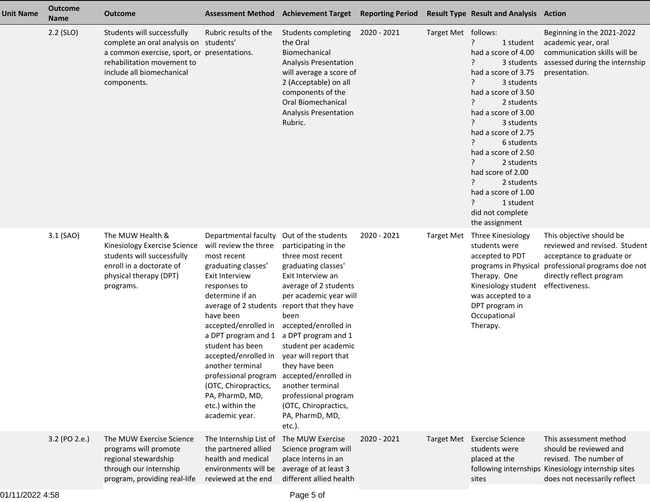| <b>Unit Name</b> | <b>Outcome</b><br><b>Name</b> | <b>Outcome</b>                                                                                                                                                                                | <b>Assessment Method</b>                                                                                                                                                                                                                                                                                                                                                                               | <b>Achievement Target</b>                                                                                                                                                                                                                                                                                                                                                                                                                      | <b>Reporting Period</b> |                     | <b>Result Type Result and Analysis Action</b>                                                                                                                                                                                                                                                                                                                                                          |                                                                                                                                                                       |
|------------------|-------------------------------|-----------------------------------------------------------------------------------------------------------------------------------------------------------------------------------------------|--------------------------------------------------------------------------------------------------------------------------------------------------------------------------------------------------------------------------------------------------------------------------------------------------------------------------------------------------------------------------------------------------------|------------------------------------------------------------------------------------------------------------------------------------------------------------------------------------------------------------------------------------------------------------------------------------------------------------------------------------------------------------------------------------------------------------------------------------------------|-------------------------|---------------------|--------------------------------------------------------------------------------------------------------------------------------------------------------------------------------------------------------------------------------------------------------------------------------------------------------------------------------------------------------------------------------------------------------|-----------------------------------------------------------------------------------------------------------------------------------------------------------------------|
|                  | $2.2$ (SLO)                   | Students will successfully<br>complete an oral analysis on students'<br>a common exercise, sport, or presentations.<br>rehabilitation movement to<br>include all biomechanical<br>components. | Rubric results of the                                                                                                                                                                                                                                                                                                                                                                                  | Students completing<br>the Oral<br>Biomechanical<br><b>Analysis Presentation</b><br>will average a score of<br>2 (Acceptable) on all<br>components of the<br><b>Oral Biomechanical</b><br><b>Analysis Presentation</b><br>Rubric.                                                                                                                                                                                                              | 2020 - 2021             | Target Met follows: | ?<br>1 student<br>had a score of 4.00<br>3 students<br>had a score of 3.75<br>3 students<br>had a score of 3.50<br>2 students<br>had a score of 3.00<br><u>?</u><br>3 students<br>had a score of 2.75<br><u>?</u><br>6 students<br>had a score of 2.50<br>?<br>2 students<br>had score of 2.00<br>?<br>2 students<br>had a score of 1.00<br>$\cdot$<br>1 student<br>did not complete<br>the assignment | Beginning in the 2021-2022<br>academic year, oral<br>communication skills will be<br>assessed during the internship<br>presentation.                                  |
|                  | 3.1 (SAO)                     | The MUW Health &<br>Kinesiology Exercise Science<br>students will successfully<br>enroll in a doctorate of<br>physical therapy (DPT)<br>programs.                                             | Departmental faculty<br>will review the three<br>most recent<br>graduating classes'<br>Exit Interview<br>responses to<br>determine if an<br>average of 2 students<br>have been<br>accepted/enrolled in<br>a DPT program and 1<br>student has been<br>accepted/enrolled in<br>another terminal<br>professional program<br>(OTC, Chiropractics,<br>PA, PharmD, MD,<br>etc.) within the<br>academic year. | Out of the students<br>participating in the<br>three most recent<br>graduating classes'<br>Exit Interview an<br>average of 2 students<br>per academic year will<br>report that they have<br>been<br>accepted/enrolled in<br>a DPT program and 1<br>student per academic<br>year will report that<br>they have been<br>accepted/enrolled in<br>another terminal<br>professional program<br>(OTC, Chiropractics,<br>PA, PharmD, MD,<br>$etc.$ ). | 2020 - 2021             | Target Met          | Three Kinesiology<br>students were<br>accepted to PDT<br>programs in Physical<br>Therapy. One<br>Kinesiology student<br>was accepted to a<br>DPT program in<br>Occupational<br>Therapy.                                                                                                                                                                                                                | This objective should be<br>reviewed and revised. Student<br>acceptance to graduate or<br>professional programs doe not<br>directly reflect program<br>effectiveness. |
|                  | 3.2 (PO 2.e.)                 | The MUW Exercise Science<br>programs will promote<br>regional stewardship<br>through our internship<br>program, providing real-life                                                           | The Internship List of<br>the partnered allied<br>health and medical<br>environments will be<br>reviewed at the end                                                                                                                                                                                                                                                                                    | The MUW Exercise<br>Science program will<br>place interns in an<br>average of at least 3<br>different allied health                                                                                                                                                                                                                                                                                                                            | 2020 - 2021             |                     | Target Met Exercise Science<br>students were<br>placed at the<br>sites                                                                                                                                                                                                                                                                                                                                 | This assessment method<br>should be reviewed and<br>revised. The number of<br>following internships Kinesiology internship sites<br>does not necessarily reflect      |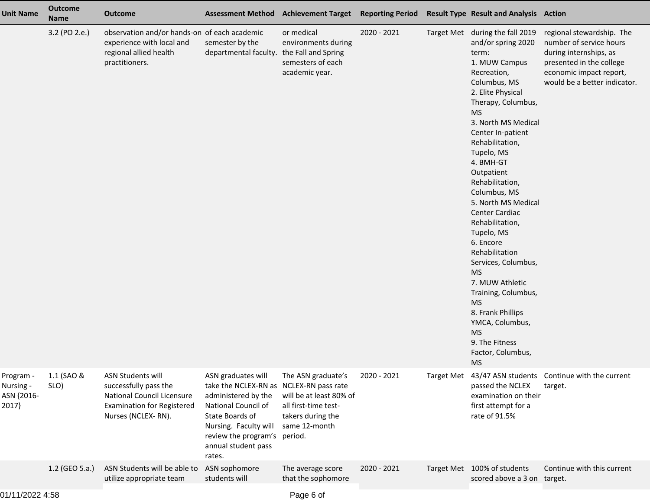| <b>Unit Name</b>                              | <b>Outcome</b><br><b>Name</b> | <b>Outcome</b>                                                                                                                             |                                                                                                                                                                                                       | Assessment Method Achievement Target Reporting Period Result Type Result and Analysis Action                                      |             |                                                                                                                                                                                                                                                                                                                                                                                                                                                                                                                                                                                                                                |                                                                                                                                                                       |
|-----------------------------------------------|-------------------------------|--------------------------------------------------------------------------------------------------------------------------------------------|-------------------------------------------------------------------------------------------------------------------------------------------------------------------------------------------------------|-----------------------------------------------------------------------------------------------------------------------------------|-------------|--------------------------------------------------------------------------------------------------------------------------------------------------------------------------------------------------------------------------------------------------------------------------------------------------------------------------------------------------------------------------------------------------------------------------------------------------------------------------------------------------------------------------------------------------------------------------------------------------------------------------------|-----------------------------------------------------------------------------------------------------------------------------------------------------------------------|
|                                               | 3.2 (PO 2.e.)                 | observation and/or hands-on of each academic<br>experience with local and<br>regional allied health<br>practitioners.                      | semester by the<br>departmental faculty. the Fall and Spring                                                                                                                                          | or medical<br>environments during<br>semesters of each<br>academic year.                                                          | 2020 - 2021 | Target Met during the fall 2019<br>and/or spring 2020<br>term:<br>1. MUW Campus<br>Recreation,<br>Columbus, MS<br>2. Elite Physical<br>Therapy, Columbus,<br><b>MS</b><br>3. North MS Medical<br>Center In-patient<br>Rehabilitation,<br>Tupelo, MS<br>4. BMH-GT<br>Outpatient<br>Rehabilitation,<br>Columbus, MS<br>5. North MS Medical<br>Center Cardiac<br>Rehabilitation,<br>Tupelo, MS<br>6. Encore<br>Rehabilitation<br>Services, Columbus,<br><b>MS</b><br>7. MUW Athletic<br>Training, Columbus,<br><b>MS</b><br>8. Frank Phillips<br>YMCA, Columbus,<br><b>MS</b><br>9. The Fitness<br>Factor, Columbus,<br><b>MS</b> | regional stewardship. The<br>number of service hours<br>during internships, as<br>presented in the college<br>economic impact report,<br>would be a better indicator. |
| Program -<br>Nursing -<br>ASN {2016-<br>2017} | 1.1 (SAO &<br>SLO)            | <b>ASN Students will</b><br>successfully pass the<br>National Council Licensure<br><b>Examination for Registered</b><br>Nurses (NCLEX-RN). | ASN graduates will<br>take the NCLEX-RN as<br>administered by the<br>National Council of<br>State Boards of<br>Nursing. Faculty will<br>review the program's period.<br>annual student pass<br>rates. | The ASN graduate's<br>NCLEX-RN pass rate<br>will be at least 80% of<br>all first-time test-<br>takers during the<br>same 12-month | 2020 - 2021 | passed the NCLEX<br>examination on their<br>first attempt for a<br>rate of 91.5%                                                                                                                                                                                                                                                                                                                                                                                                                                                                                                                                               | Target Met 43/47 ASN students Continue with the current<br>target.                                                                                                    |
|                                               | 1.2 (GEO 5.a.)                | ASN Students will be able to<br>utilize appropriate team                                                                                   | ASN sophomore<br>students will                                                                                                                                                                        | The average score<br>that the sophomore                                                                                           | 2020 - 2021 | Target Met 100% of students<br>scored above a 3 on target.                                                                                                                                                                                                                                                                                                                                                                                                                                                                                                                                                                     | Continue with this current                                                                                                                                            |
|                                               |                               |                                                                                                                                            |                                                                                                                                                                                                       |                                                                                                                                   |             |                                                                                                                                                                                                                                                                                                                                                                                                                                                                                                                                                                                                                                |                                                                                                                                                                       |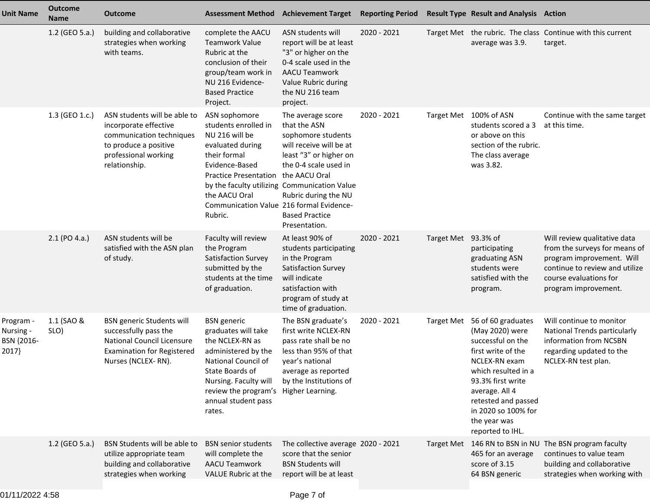| <b>Unit Name</b>                              | <b>Outcome</b><br><b>Name</b> | <b>Outcome</b>                                                                                                                                      | <b>Assessment Method</b>                                                                                                                                                                                              | <b>Achievement Target</b>                                                                                                                                                                                                                                                | <b>Reporting Period</b> |                     | <b>Result Type Result and Analysis Action</b>                                                                                                                                                                                                     |                                                                                                                                                                                |
|-----------------------------------------------|-------------------------------|-----------------------------------------------------------------------------------------------------------------------------------------------------|-----------------------------------------------------------------------------------------------------------------------------------------------------------------------------------------------------------------------|--------------------------------------------------------------------------------------------------------------------------------------------------------------------------------------------------------------------------------------------------------------------------|-------------------------|---------------------|---------------------------------------------------------------------------------------------------------------------------------------------------------------------------------------------------------------------------------------------------|--------------------------------------------------------------------------------------------------------------------------------------------------------------------------------|
|                                               | 1.2 (GEO 5.a.)                | building and collaborative<br>strategies when working<br>with teams.                                                                                | complete the AACU<br><b>Teamwork Value</b><br>Rubric at the<br>conclusion of their<br>group/team work in<br>NU 216 Evidence-<br><b>Based Practice</b><br>Project.                                                     | ASN students will<br>report will be at least<br>"3" or higher on the<br>0-4 scale used in the<br><b>AACU Teamwork</b><br>Value Rubric during<br>the NU 216 team<br>project.                                                                                              | 2020 - 2021             |                     | average was 3.9.                                                                                                                                                                                                                                  | Target Met the rubric. The class Continue with this current<br>target.                                                                                                         |
|                                               | 1.3 (GEO 1.c.)                | ASN students will be able to<br>incorporate effective<br>communication techniques<br>to produce a positive<br>professional working<br>relationship. | ASN sophomore<br>students enrolled in<br>NU 216 will be<br>evaluated during<br>their formal<br>Evidence-Based<br><b>Practice Presentation</b><br>the AACU Oral<br>Communication Value 216 formal Evidence-<br>Rubric. | The average score<br>that the ASN<br>sophomore students<br>will receive will be at<br>least "3" or higher on<br>the 0-4 scale used in<br>the AACU Oral<br>by the faculty utilizing Communication Value<br>Rubric during the NU<br><b>Based Practice</b><br>Presentation. | 2020 - 2021             | <b>Target Met</b>   | 100% of ASN<br>students scored a 3<br>or above on this<br>section of the rubric.<br>The class average<br>was 3.82.                                                                                                                                | Continue with the same target<br>at this time.                                                                                                                                 |
|                                               | 2.1 (PO 4.a.)                 | ASN students will be<br>satisfied with the ASN plan<br>of study.                                                                                    | Faculty will review<br>the Program<br>Satisfaction Survey<br>submitted by the<br>students at the time<br>of graduation.                                                                                               | At least 90% of<br>students participating<br>in the Program<br>Satisfaction Survey<br>will indicate<br>satisfaction with<br>program of study at<br>time of graduation.                                                                                                   | 2020 - 2021             | Target Met 93.3% of | participating<br>graduating ASN<br>students were<br>satisfied with the<br>program.                                                                                                                                                                | Will review qualitative data<br>from the surveys for means of<br>program improvement. Will<br>continue to review and utilize<br>course evaluations for<br>program improvement. |
| Program -<br>Nursing -<br>BSN {2016-<br>2017} | 1.1 (SAO &<br>SLO)            | <b>BSN</b> generic Students will<br>successfully pass the<br>National Council Licensure<br><b>Examination for Registered</b><br>Nurses (NCLEX-RN).  | <b>BSN</b> generic<br>graduates will take<br>the NCLEX-RN as<br>administered by the<br>National Council of<br>State Boards of<br>Nursing. Faculty will<br>review the program's<br>annual student pass<br>rates.       | The BSN graduate's<br>first write NCLEX-RN<br>pass rate shall be no<br>less than 95% of that<br>year's national<br>average as reported<br>by the Institutions of<br>Higher Learning.                                                                                     | 2020 - 2021             | <b>Target Met</b>   | 56 of 60 graduates<br>(May 2020) were<br>successful on the<br>first write of the<br>NCLEX-RN exam<br>which resulted in a<br>93.3% first write<br>average. All 4<br>retested and passed<br>in 2020 so 100% for<br>the year was<br>reported to IHL. | Will continue to monitor<br>National Trends particularly<br>information from NCSBN<br>regarding updated to the<br>NCLEX-RN test plan.                                          |
|                                               | 1.2 (GEO 5.a.)                | BSN Students will be able to<br>utilize appropriate team<br>building and collaborative<br>strategies when working                                   | <b>BSN</b> senior students<br>will complete the<br><b>AACU Teamwork</b><br>VALUE Rubric at the                                                                                                                        | The collective average 2020 - 2021<br>score that the senior<br><b>BSN Students will</b><br>report will be at least                                                                                                                                                       |                         |                     | 465 for an average<br>score of 3.15<br>64 BSN generic                                                                                                                                                                                             | Target Met 146 RN to BSN in NU The BSN program faculty<br>continues to value team<br>building and collaborative<br>strategies when working with                                |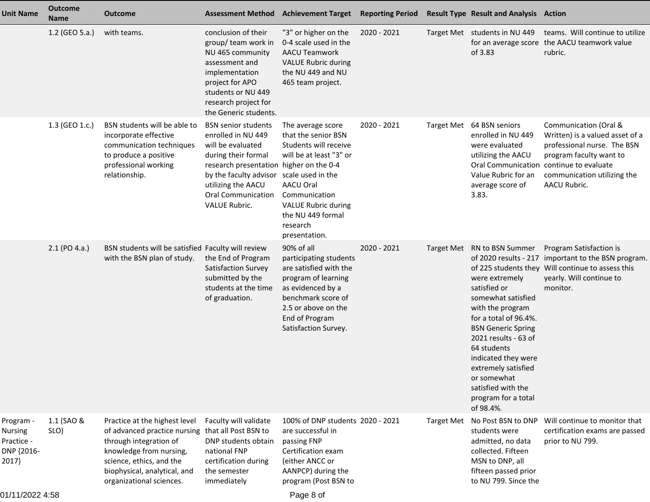| <b>Unit Name</b>                                                 | <b>Outcome</b><br><b>Name</b> | <b>Outcome</b>                                                                                                                                                                                             | <b>Assessment Method</b>                                                                                                                                                                                                                     | <b>Achievement Target</b>                                                                                                                                                                                                       | <b>Reporting Period</b> |                   | <b>Result Type Result and Analysis Action</b>                                                                                                                                                                                                                                                                                                        |                                                                                                                                                                                                              |
|------------------------------------------------------------------|-------------------------------|------------------------------------------------------------------------------------------------------------------------------------------------------------------------------------------------------------|----------------------------------------------------------------------------------------------------------------------------------------------------------------------------------------------------------------------------------------------|---------------------------------------------------------------------------------------------------------------------------------------------------------------------------------------------------------------------------------|-------------------------|-------------------|------------------------------------------------------------------------------------------------------------------------------------------------------------------------------------------------------------------------------------------------------------------------------------------------------------------------------------------------------|--------------------------------------------------------------------------------------------------------------------------------------------------------------------------------------------------------------|
|                                                                  | 1.2 (GEO 5.a.)                | with teams.                                                                                                                                                                                                | conclusion of their<br>group/ team work in<br>NU 465 community<br>assessment and<br>implementation<br>project for APO<br>students or NU 449<br>research project for<br>the Generic students.                                                 | "3" or higher on the<br>0-4 scale used in the<br><b>AACU Teamwork</b><br><b>VALUE Rubric during</b><br>the NU 449 and NU<br>465 team project.                                                                                   | 2020 - 2021             |                   | Target Met students in NU 449<br>of 3.83                                                                                                                                                                                                                                                                                                             | teams. Will continue to utilize<br>for an average score the AACU teamwork value<br>rubric.                                                                                                                   |
|                                                                  | 1.3 (GEO 1.c.)                | BSN students will be able to<br>incorporate effective<br>communication techniques<br>to produce a positive<br>professional working<br>relationship.                                                        | <b>BSN</b> senior students<br>enrolled in NU 449<br>will be evaluated<br>during their formal<br>research presentation higher on the 0-4<br>by the faculty advisor<br>utilizing the AACU<br><b>Oral Communication</b><br><b>VALUE Rubric.</b> | The average score<br>that the senior BSN<br>Students will receive<br>will be at least "3" or<br>scale used in the<br>AACU Oral<br>Communication<br><b>VALUE Rubric during</b><br>the NU 449 formal<br>research<br>presentation. | 2020 - 2021             | <b>Target Met</b> | 64 BSN seniors<br>enrolled in NU 449<br>were evaluated<br>utilizing the AACU<br>Value Rubric for an<br>average score of<br>3.83.                                                                                                                                                                                                                     | Communication (Oral &<br>Written) is a valued asset of a<br>professional nurse. The BSN<br>program faculty want to<br>Oral Communication continue to evaluate<br>communication utilizing the<br>AACU Rubric. |
|                                                                  | 2.1 (PO 4.a.)                 | BSN students will be satisfied Faculty will review<br>with the BSN plan of study.                                                                                                                          | the End of Program<br>Satisfaction Survey<br>submitted by the<br>students at the time<br>of graduation.                                                                                                                                      | 90% of all<br>participating students<br>are satisfied with the<br>program of learning<br>as evidenced by a<br>benchmark score of<br>2.5 or above on the<br>End of Program<br>Satisfaction Survey.                               | 2020 - 2021             |                   | Target Met RN to BSN Summer<br>of 2020 results - 217<br>were extremely<br>satisfied or<br>somewhat satisfied<br>with the program<br>for a total of 96.4%.<br><b>BSN Generic Spring</b><br>2021 results - 63 of<br>64 students<br>indicated they were<br>extremely satisfied<br>or somewhat<br>satisfied with the<br>program for a total<br>of 98.4%. | Program Satisfaction is<br>important to the BSN program.<br>of 225 students they Will continue to assess this<br>yearly. Will continue to<br>monitor.                                                        |
| Program -<br><b>Nursing</b><br>Practice -<br>DNP {2016-<br>2017} | 1.1 (SAO &<br>SLO)            | Practice at the highest level<br>of advanced practice nursing<br>through integration of<br>knowledge from nursing,<br>science, ethics, and the<br>biophysical, analytical, and<br>organizational sciences. | Faculty will validate<br>that all Post BSN to<br>DNP students obtain<br>national FNP<br>certification during<br>the semester<br>immediately                                                                                                  | 100% of DNP students 2020 - 2021<br>are successful in<br>passing FNP<br>Certification exam<br>(either ANCC or<br>AANPCP) during the<br>program (Post BSN to                                                                     |                         | <b>Target Met</b> | No Post BSN to DNP<br>students were<br>admitted, no data<br>collected. Fifteen<br>MSN to DNP, all<br>fifteen passed prior<br>to NU 799. Since the                                                                                                                                                                                                    | Will continue to monitor that<br>certification exams are passed<br>prior to NU 799.                                                                                                                          |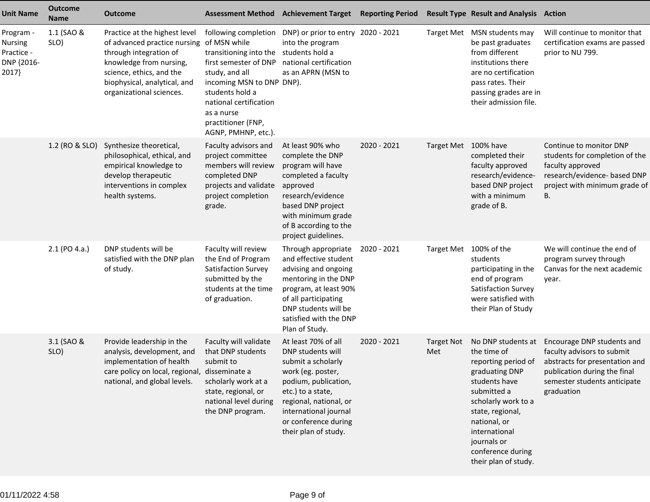| <b>Unit Name</b>                                          | <b>Outcome</b><br><b>Name</b> | <b>Outcome</b>                                                                                                                                                                                             | <b>Assessment Method</b>                                                                                                                                                                                                                       | <b>Achievement Target</b>                                                                                                                                                                                                           | <b>Reporting Period</b> |                          | <b>Result Type Result and Analysis Action</b>                                                                                                                                                                                                      |                                                                                                                                                                          |
|-----------------------------------------------------------|-------------------------------|------------------------------------------------------------------------------------------------------------------------------------------------------------------------------------------------------------|------------------------------------------------------------------------------------------------------------------------------------------------------------------------------------------------------------------------------------------------|-------------------------------------------------------------------------------------------------------------------------------------------------------------------------------------------------------------------------------------|-------------------------|--------------------------|----------------------------------------------------------------------------------------------------------------------------------------------------------------------------------------------------------------------------------------------------|--------------------------------------------------------------------------------------------------------------------------------------------------------------------------|
| Program -<br>Nursing<br>Practice -<br>DNP {2016-<br>2017} | 1.1 (SAO &<br>SLO)            | Practice at the highest level<br>of advanced practice nursing<br>through integration of<br>knowledge from nursing,<br>science, ethics, and the<br>biophysical, analytical, and<br>organizational sciences. | following completion<br>of MSN while<br>transitioning into the<br>first semester of DNP<br>study, and all<br>incoming MSN to DNP DNP).<br>students hold a<br>national certification<br>as a nurse<br>practitioner (FNP,<br>AGNP, PMHNP, etc.). | DNP) or prior to entry 2020 - 2021<br>into the program<br>students hold a<br>national certification<br>as an APRN (MSN to                                                                                                           |                         |                          | Target Met MSN students may<br>be past graduates<br>from different<br>institutions there<br>are no certification<br>pass rates. Their<br>passing grades are in<br>their admission file.                                                            | Will continue to monitor that<br>certification exams are passed<br>prior to NU 799.                                                                                      |
|                                                           | 1.2 (RO & SLO)                | Synthesize theoretical,<br>philosophical, ethical, and<br>empirical knowledge to<br>develop therapeutic<br>interventions in complex<br>health systems.                                                     | Faculty advisors and<br>project committee<br>members will review<br>completed DNP<br>projects and validate<br>project completion<br>grade.                                                                                                     | At least 90% who<br>complete the DNP<br>program will have<br>completed a faculty<br>approved<br>research/evidence<br>based DNP project<br>with minimum grade<br>of B according to the<br>project guidelines.                        | 2020 - 2021             | Target Met 100% have     | completed their<br>faculty approved<br>research/evidence-<br>based DNP project<br>with a minimum<br>grade of B.                                                                                                                                    | Continue to monitor DNP<br>students for completion of the<br>faculty approved<br>research/evidence- based DNP<br>project with minimum grade of<br>В.                     |
|                                                           | $2.1$ (PO 4.a.)               | DNP students will be<br>satisfied with the DNP plan<br>of study.                                                                                                                                           | Faculty will review<br>the End of Program<br>Satisfaction Survey<br>submitted by the<br>students at the time<br>of graduation.                                                                                                                 | Through appropriate<br>and effective student<br>advising and ongoing<br>mentoring in the DNP<br>program, at least 90%<br>of all participating<br>DNP students will be<br>satisfied with the DNP<br>Plan of Study.                   | 2020 - 2021             |                          | Target Met 100% of the<br>students<br>participating in the<br>end of program<br>Satisfaction Survey<br>were satisfied with<br>their Plan of Study                                                                                                  | We will continue the end of<br>program survey through<br>Canvas for the next academic<br>year.                                                                           |
|                                                           | 3.1 (SAO &<br>SLO)            | Provide leadership in the<br>analysis, development, and<br>implementation of health<br>care policy on local, regional, disseminate a<br>national, and global levels.                                       | Faculty will validate<br>that DNP students<br>submit to<br>scholarly work at a<br>state, regional, or<br>national level during<br>the DNP program.                                                                                             | At least 70% of all<br>DNP students will<br>submit a scholarly<br>work (eg. poster,<br>podium, publication,<br>etc.) to a state,<br>regional, national, or<br>international journal<br>or conference during<br>their plan of study. | 2020 - 2021             | <b>Target Not</b><br>Met | No DNP students at<br>the time of<br>reporting period of<br>graduating DNP<br>students have<br>submitted a<br>scholarly work to a<br>state, regional,<br>national, or<br>international<br>journals or<br>conference during<br>their plan of study. | Encourage DNP students and<br>faculty advisors to submit<br>abstracts for presentation and<br>publication during the final<br>semester students anticipate<br>graduation |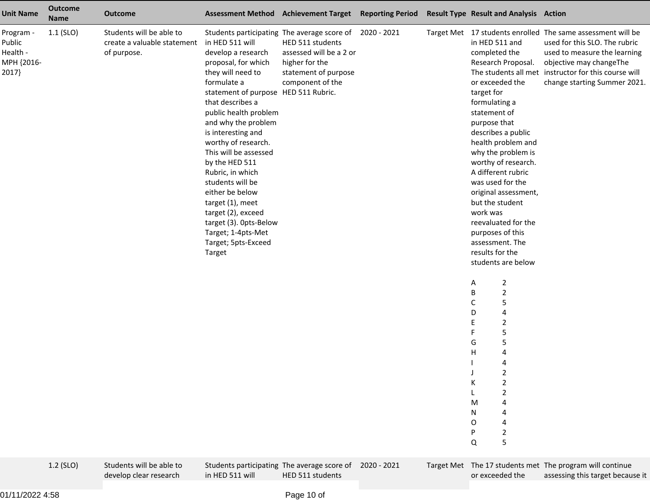| <b>Unit Name</b>                                      | <b>Outcome</b><br><b>Name</b> | <b>Outcome</b>                                                                                     |                                                                                                                                                                                                                                                                                                                                                                                                                                                                                            | Assessment Method Achievement Target Reporting Period                                                                                                                                                                           |  | <b>Result Type Result and Analysis Action</b>                                                                                                                                                                                                                                                                                                                                                                                                                                                                                                                                                                                                                                     |                                                                                                                                                                                                                                                                                                             |
|-------------------------------------------------------|-------------------------------|----------------------------------------------------------------------------------------------------|--------------------------------------------------------------------------------------------------------------------------------------------------------------------------------------------------------------------------------------------------------------------------------------------------------------------------------------------------------------------------------------------------------------------------------------------------------------------------------------------|---------------------------------------------------------------------------------------------------------------------------------------------------------------------------------------------------------------------------------|--|-----------------------------------------------------------------------------------------------------------------------------------------------------------------------------------------------------------------------------------------------------------------------------------------------------------------------------------------------------------------------------------------------------------------------------------------------------------------------------------------------------------------------------------------------------------------------------------------------------------------------------------------------------------------------------------|-------------------------------------------------------------------------------------------------------------------------------------------------------------------------------------------------------------------------------------------------------------------------------------------------------------|
| Program -<br>Public<br>Health -<br>MPH {2016-<br>2017 | $1.1$ (SLO)<br>1.2 (SLO)      | Students will be able to<br>create a valuable statement<br>of purpose.<br>Students will be able to | in HED 511 will<br>develop a research<br>proposal, for which<br>they will need to<br>formulate a<br>statement of purpose HED 511 Rubric.<br>that describes a<br>public health problem<br>and why the problem<br>is interesting and<br>worthy of research.<br>This will be assessed<br>by the HED 511<br>Rubric, in which<br>students will be<br>either be below<br>target (1), meet<br>target (2), exceed<br>target (3). Opts-Below<br>Target; 1-4pts-Met<br>Target; 5pts-Exceed<br>Target | Students participating The average score of 2020 - 2021<br>HED 511 students<br>assessed will be a 2 or<br>higher for the<br>statement of purpose<br>component of the<br>Students participating The average score of 2020 - 2021 |  | in HED 511 and<br>completed the<br>Research Proposal.<br>or exceeded the<br>target for<br>formulating a<br>statement of<br>purpose that<br>describes a public<br>health problem and<br>why the problem is<br>worthy of research.<br>A different rubric<br>was used for the<br>original assessment,<br>but the student<br>work was<br>reevaluated for the<br>purposes of this<br>assessment. The<br>results for the<br>students are below<br>$\overline{c}$<br>Α<br>$\overline{2}$<br>B<br>5<br>C<br>D<br>4<br>$\overline{2}$<br>Е<br>5<br>F<br>5<br>G<br>$\mathsf{H}$<br>4<br>4<br>$\overline{z}$<br>$\overline{\mathbf{c}}$<br>К<br>2<br>M<br>N<br>0<br>$\overline{2}$<br>5<br>Q | Target Met 17 students enrolled The same assessment will be<br>used for this SLO. The rubric<br>used to measure the learning<br>objective may changeThe<br>The students all met instructor for this course will<br>change starting Summer 2021.<br>Target Met The 17 students met The program will continue |
|                                                       |                               |                                                                                                    |                                                                                                                                                                                                                                                                                                                                                                                                                                                                                            |                                                                                                                                                                                                                                 |  |                                                                                                                                                                                                                                                                                                                                                                                                                                                                                                                                                                                                                                                                                   |                                                                                                                                                                                                                                                                                                             |

01/11/2022 4:58

in HED 511 will

Students participating The average score of 2020 - 2021 HED 511 students

 Target Met The 17 students met The program will continueor exceeded theassessing this target because it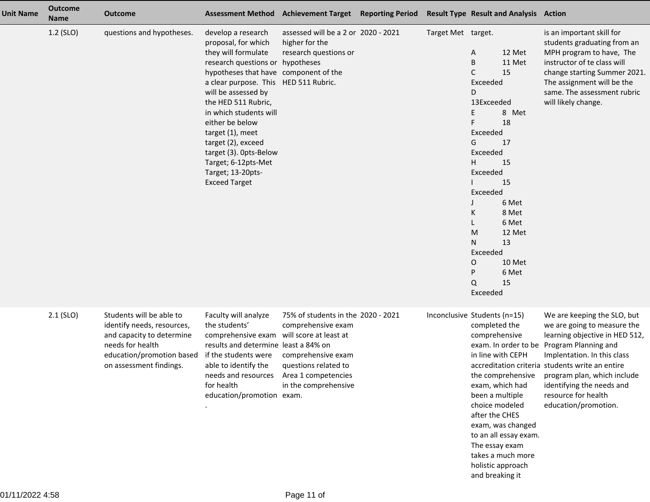| <b>Unit Name</b> | <b>Outcome</b><br><b>Name</b> | <b>Outcome</b>                                                                                                                                                  |                                                                                                                                                                                                                                                                                                                                                                                                                           | Assessment Method Achievement Target Reporting Period                                                                                                 |                    | <b>Result Type Result and Analysis Action</b>                                                                                                                                                                                                                                                                   |                                                                                                                                                                                                                                                                                                                                        |
|------------------|-------------------------------|-----------------------------------------------------------------------------------------------------------------------------------------------------------------|---------------------------------------------------------------------------------------------------------------------------------------------------------------------------------------------------------------------------------------------------------------------------------------------------------------------------------------------------------------------------------------------------------------------------|-------------------------------------------------------------------------------------------------------------------------------------------------------|--------------------|-----------------------------------------------------------------------------------------------------------------------------------------------------------------------------------------------------------------------------------------------------------------------------------------------------------------|----------------------------------------------------------------------------------------------------------------------------------------------------------------------------------------------------------------------------------------------------------------------------------------------------------------------------------------|
|                  | 1.2 (SLO)                     | questions and hypotheses.                                                                                                                                       | develop a research<br>proposal, for which<br>they will formulate<br>research questions or hypotheses<br>hypotheses that have component of the<br>a clear purpose. This HED 511 Rubric.<br>will be assessed by<br>the HED 511 Rubric,<br>in which students will<br>either be below<br>target (1), meet<br>target (2), exceed<br>target (3). Opts-Below<br>Target; 6-12pts-Met<br>Target; 13-20pts-<br><b>Exceed Target</b> | assessed will be a 2 or 2020 - 2021<br>higher for the<br>research questions or                                                                        | Target Met target. | 12 Met<br>A<br>B<br>11 Met<br>C<br>15<br>Exceeded<br>D<br>13Exceeded<br>8 Met<br>E<br>18<br>Exceeded<br>17<br>G<br>Exceeded<br>H.<br>15<br>Exceeded<br>15<br>Exceeded<br>6 Met<br>8 Met<br>Κ<br>6 Met<br>12 Met<br>M<br>13<br>N<br>Exceeded<br>10 Met<br>O<br>P<br>6 Met<br>15<br>Q<br>Exceeded                 | is an important skill for<br>students graduating from an<br>MPH program to have, The<br>instructor of te class will<br>change starting Summer 2021.<br>The assignment will be the<br>same. The assessment rubric<br>will likely change.                                                                                                |
|                  | $2.1$ (SLO)                   | Students will be able to<br>identify needs, resources,<br>and capacity to determine<br>needs for health<br>education/promotion based<br>on assessment findings. | Faculty will analyze<br>the students'<br>comprehensive exam will score at least at<br>results and determine least a 84% on<br>if the students were<br>able to identify the<br>needs and resources<br>for health<br>education/promotion exam.                                                                                                                                                                              | 75% of students in the 2020 - 2021<br>comprehensive exam<br>comprehensive exam<br>questions related to<br>Area 1 competencies<br>in the comprehensive |                    | Inconclusive Students (n=15)<br>completed the<br>comprehensive<br>in line with CEPH<br>the comprehensive<br>exam, which had<br>been a multiple<br>choice modeled<br>after the CHES<br>exam, was changed<br>to an all essay exam.<br>The essay exam<br>takes a much more<br>holistic approach<br>and breaking it | We are keeping the SLO, but<br>we are going to measure the<br>learning objective in HED 512,<br>exam. In order to be Program Planning and<br>Implentation. In this class<br>accreditation criteria students write an entire<br>program plan, which include<br>identifying the needs and<br>resource for health<br>education/promotion. |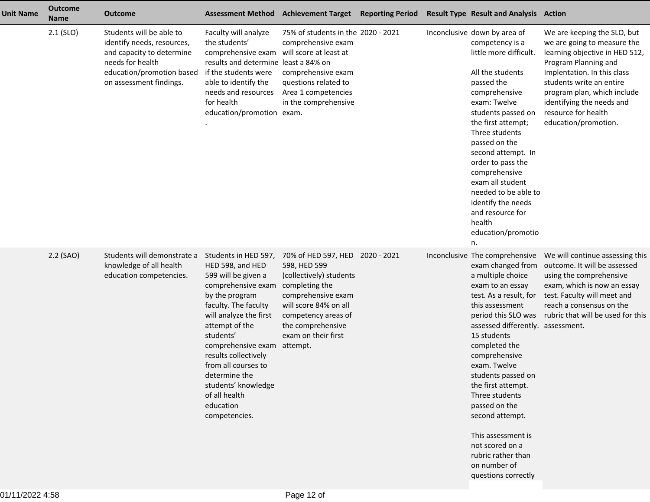| <b>Unit Name</b> | <b>Outcome</b><br><b>Name</b> | <b>Outcome</b>                                                                                                                                                  | <b>Assessment Method</b>                                                                                                                                                                                                                                                                                                                             | <b>Achievement Target</b>                                                                                                                                                                                                  | <b>Reporting Period</b> | <b>Result Type Result and Analysis Action</b>                                                                                                                                                                                                                                                                                                                                                                                                                                  |                                                                                                                                                                                                                                                                                            |
|------------------|-------------------------------|-----------------------------------------------------------------------------------------------------------------------------------------------------------------|------------------------------------------------------------------------------------------------------------------------------------------------------------------------------------------------------------------------------------------------------------------------------------------------------------------------------------------------------|----------------------------------------------------------------------------------------------------------------------------------------------------------------------------------------------------------------------------|-------------------------|--------------------------------------------------------------------------------------------------------------------------------------------------------------------------------------------------------------------------------------------------------------------------------------------------------------------------------------------------------------------------------------------------------------------------------------------------------------------------------|--------------------------------------------------------------------------------------------------------------------------------------------------------------------------------------------------------------------------------------------------------------------------------------------|
|                  | $2.1$ (SLO)                   | Students will be able to<br>identify needs, resources,<br>and capacity to determine<br>needs for health<br>education/promotion based<br>on assessment findings. | Faculty will analyze<br>the students'<br>comprehensive exam<br>results and determine least a 84% on<br>if the students were<br>able to identify the<br>needs and resources<br>for health<br>education/promotion exam.                                                                                                                                | 75% of students in the 2020 - 2021<br>comprehensive exam<br>will score at least at<br>comprehensive exam<br>questions related to<br>Area 1 competencies<br>in the comprehensive                                            |                         | Inconclusive down by area of<br>competency is a<br>little more difficult.<br>All the students<br>passed the<br>comprehensive<br>exam: Twelve<br>students passed on<br>the first attempt;<br>Three students<br>passed on the<br>second attempt. In<br>order to pass the<br>comprehensive<br>exam all student<br>needed to be able to<br>identify the needs<br>and resource for<br>health<br>education/promotio<br>n.                                                            | We are keeping the SLO, but<br>we are going to measure the<br>learning objective in HED 512,<br>Program Planning and<br>Implentation. In this class<br>students write an entire<br>program plan, which include<br>identifying the needs and<br>resource for health<br>education/promotion. |
|                  | 2.2 (SAO)                     | Students will demonstrate a<br>knowledge of all health<br>education competencies.                                                                               | Students in HED 597,<br>HED 598, and HED<br>599 will be given a<br>comprehensive exam<br>by the program<br>faculty. The faculty<br>will analyze the first<br>attempt of the<br>students'<br>comprehensive exam<br>results collectively<br>from all courses to<br>determine the<br>students' knowledge<br>of all health<br>education<br>competencies. | 70% of HED 597, HED 2020 - 2021<br>598, HED 599<br>(collectively) students<br>completing the<br>comprehensive exam<br>will score 84% on all<br>competency areas of<br>the comprehensive<br>exam on their first<br>attempt. |                         | Inconclusive The comprehensive<br>exam changed from<br>a multiple choice<br>exam to an essay<br>test. As a result, for<br>this assessment<br>period this SLO was<br>assessed differently. assessment.<br>15 students<br>completed the<br>comprehensive<br>exam. Twelve<br>students passed on<br>the first attempt.<br>Three students<br>passed on the<br>second attempt.<br>This assessment is<br>not scored on a<br>rubric rather than<br>on number of<br>questions correctly | We will continue assessing this<br>outcome. It will be assessed<br>using the comprehensive<br>exam, which is now an essay<br>test. Faculty will meet and<br>reach a consensus on the<br>rubric that will be used for this                                                                  |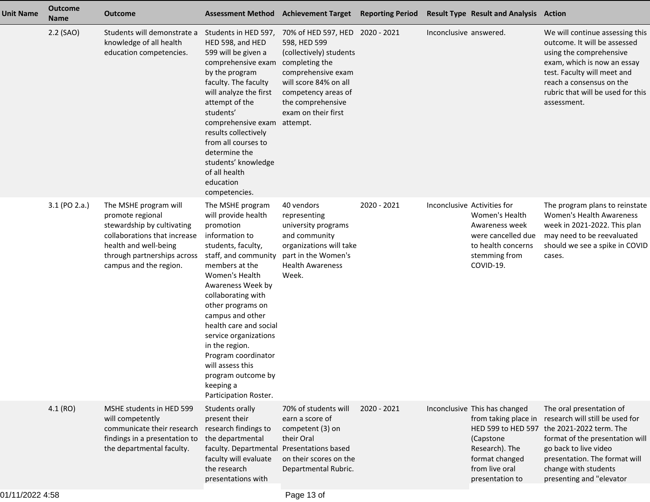| <b>Unit Name</b> | <b>Outcome</b><br><b>Name</b> | <b>Outcome</b>                                                                                                                                                                            | <b>Assessment Method</b>                                                                                                                                                                                                                                                                                                                                                                                                 | <b>Achievement Target Reporting Period</b>                                                                                                                                                                     |             |                        | <b>Result Type Result and Analysis Action</b>                                                                                                                     |                                                                                                                                                                                                                                          |
|------------------|-------------------------------|-------------------------------------------------------------------------------------------------------------------------------------------------------------------------------------------|--------------------------------------------------------------------------------------------------------------------------------------------------------------------------------------------------------------------------------------------------------------------------------------------------------------------------------------------------------------------------------------------------------------------------|----------------------------------------------------------------------------------------------------------------------------------------------------------------------------------------------------------------|-------------|------------------------|-------------------------------------------------------------------------------------------------------------------------------------------------------------------|------------------------------------------------------------------------------------------------------------------------------------------------------------------------------------------------------------------------------------------|
|                  | 2.2 (SAO)                     | Students will demonstrate a<br>knowledge of all health<br>education competencies.                                                                                                         | Students in HED 597,<br>HED 598, and HED<br>599 will be given a<br>comprehensive exam<br>by the program<br>faculty. The faculty<br>will analyze the first<br>attempt of the<br>students'<br>comprehensive exam attempt.<br>results collectively<br>from all courses to<br>determine the<br>students' knowledge<br>of all health<br>education<br>competencies.                                                            | 70% of HED 597, HED 2020 - 2021<br>598, HED 599<br>(collectively) students<br>completing the<br>comprehensive exam<br>will score 84% on all<br>competency areas of<br>the comprehensive<br>exam on their first |             | Inconclusive answered. |                                                                                                                                                                   | We will continue assessing this<br>outcome. It will be assessed<br>using the comprehensive<br>exam, which is now an essay<br>test. Faculty will meet and<br>reach a consensus on the<br>rubric that will be used for this<br>assessment. |
|                  | 3.1 (PO 2.a.)                 | The MSHE program will<br>promote regional<br>stewardship by cultivating<br>collaborations that increase<br>health and well-being<br>through partnerships across<br>campus and the region. | The MSHE program<br>will provide health<br>promotion<br>information to<br>students, faculty,<br>staff, and community<br>members at the<br>Women's Health<br>Awareness Week by<br>collaborating with<br>other programs on<br>campus and other<br>health care and social<br>service organizations<br>in the region.<br>Program coordinator<br>will assess this<br>program outcome by<br>keeping a<br>Participation Roster. | 40 vendors<br>representing<br>university programs<br>and community<br>organizations will take<br>part in the Women's<br><b>Health Awareness</b><br>Week.                                                       | 2020 - 2021 |                        | Inconclusive Activities for<br>Women's Health<br>Awareness week<br>were cancelled due<br>to health concerns<br>stemming from<br>COVID-19.                         | The program plans to reinstate<br>Women's Health Awareness<br>week in 2021-2022. This plan<br>may need to be reevaluated<br>should we see a spike in COVID<br>cases.                                                                     |
|                  | 4.1 (RO)                      | MSHE students in HED 599<br>will competently<br>communicate their research<br>findings in a presentation to<br>the departmental faculty.                                                  | Students orally<br>present their<br>research findings to<br>the departmental<br>faculty. Departmental Presentations based<br>faculty will evaluate<br>the research<br>presentations with                                                                                                                                                                                                                                 | 70% of students will<br>earn a score of<br>competent (3) on<br>their Oral<br>on their scores on the<br>Departmental Rubric.                                                                                    | 2020 - 2021 |                        | Inconclusive This has changed<br>from taking place in<br>HED 599 to HED 597<br>(Capstone<br>Research). The<br>format changed<br>from live oral<br>presentation to | The oral presentation of<br>research will still be used for<br>the 2021-2022 term. The<br>format of the presentation will<br>go back to live video<br>presentation. The format will<br>change with students<br>presenting and "elevator  |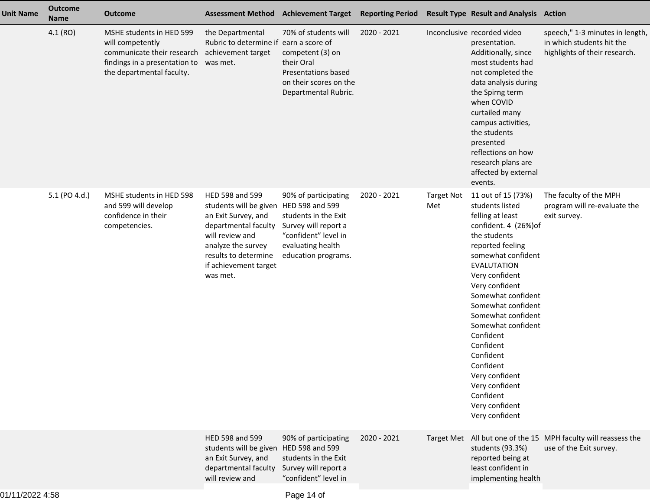| <b>Unit Name</b> | <b>Outcome</b><br><b>Name</b> | <b>Outcome</b>                                                                                                                           | <b>Assessment Method</b>                                                                                                                                                                                       | <b>Achievement Target</b>                                                                                                                | <b>Reporting Period</b> |                          | <b>Result Type Result and Analysis Action</b>                                                                                                                                                                                                                                                                                                                                                                                           |                                                                                               |
|------------------|-------------------------------|------------------------------------------------------------------------------------------------------------------------------------------|----------------------------------------------------------------------------------------------------------------------------------------------------------------------------------------------------------------|------------------------------------------------------------------------------------------------------------------------------------------|-------------------------|--------------------------|-----------------------------------------------------------------------------------------------------------------------------------------------------------------------------------------------------------------------------------------------------------------------------------------------------------------------------------------------------------------------------------------------------------------------------------------|-----------------------------------------------------------------------------------------------|
|                  | 4.1 (RO)                      | MSHE students in HED 599<br>will competently<br>communicate their research<br>findings in a presentation to<br>the departmental faculty. | the Departmental<br>Rubric to determine if earn a score of<br>achievement target<br>was met.                                                                                                                   | 70% of students will<br>competent (3) on<br>their Oral<br>Presentations based<br>on their scores on the<br>Departmental Rubric.          | 2020 - 2021             |                          | Inconclusive recorded video<br>presentation.<br>Additionally, since<br>most students had<br>not completed the<br>data analysis during<br>the Spirng term<br>when COVID<br>curtailed many<br>campus activities,<br>the students<br>presented<br>reflections on how<br>research plans are<br>affected by external<br>events.                                                                                                              | speech," 1-3 minutes in length,<br>in which students hit the<br>highlights of their research. |
|                  | 5.1 (PO 4.d.)                 | MSHE students in HED 598<br>and 599 will develop<br>confidence in their<br>competencies.                                                 | HED 598 and 599<br>students will be given HED 598 and 599<br>an Exit Survey, and<br>departmental faculty<br>will review and<br>analyze the survey<br>results to determine<br>if achievement target<br>was met. | 90% of participating<br>students in the Exit<br>Survey will report a<br>"confident" level in<br>evaluating health<br>education programs. | 2020 - 2021             | <b>Target Not</b><br>Met | 11 out of 15 (73%)<br>students listed<br>felling at least<br>confident. 4 (26%) of<br>the students<br>reported feeling<br>somewhat confident<br><b>EVALUTATION</b><br>Very confident<br>Very confident<br>Somewhat confident<br>Somewhat confident<br>Somewhat confident<br>Somewhat confident<br>Confident<br>Confident<br>Confident<br>Confident<br>Very confident<br>Very confident<br>Confident<br>Very confident<br>Very confident | The faculty of the MPH<br>program will re-evaluate the<br>exit survey.                        |
|                  |                               |                                                                                                                                          | HED 598 and 599<br>students will be given HED 598 and 599<br>an Exit Survey, and<br>departmental faculty<br>will review and                                                                                    | 90% of participating<br>students in the Exit<br>Survey will report a<br>"confident" level in                                             | 2020 - 2021             |                          | students (93.3%)<br>reported being at<br>least confident in<br>implementing health                                                                                                                                                                                                                                                                                                                                                      | Target Met All but one of the 15 MPH faculty will reassess the<br>use of the Exit survey.     |
|                  |                               |                                                                                                                                          |                                                                                                                                                                                                                |                                                                                                                                          |                         |                          |                                                                                                                                                                                                                                                                                                                                                                                                                                         |                                                                                               |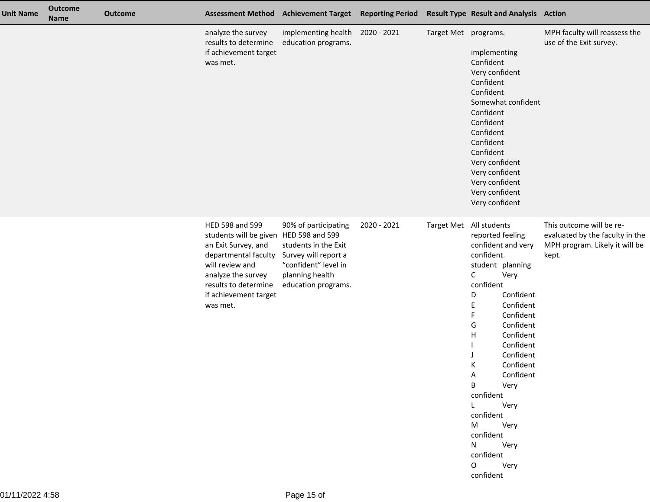| <b>Unit Name</b> | <b>Outcome</b><br><b>Name</b> | <b>Outcome</b> |                                                                                                                                                                                                                | <b>Assessment Method Achievement Target</b>                                                                                            | <b>Reporting Period</b> |                      | <b>Result Type Result and Analysis Action</b>                                                                                                                                                                                                                                                                                                                                                                         |                                                                                                        |
|------------------|-------------------------------|----------------|----------------------------------------------------------------------------------------------------------------------------------------------------------------------------------------------------------------|----------------------------------------------------------------------------------------------------------------------------------------|-------------------------|----------------------|-----------------------------------------------------------------------------------------------------------------------------------------------------------------------------------------------------------------------------------------------------------------------------------------------------------------------------------------------------------------------------------------------------------------------|--------------------------------------------------------------------------------------------------------|
|                  |                               |                | analyze the survey<br>results to determine<br>if achievement target<br>was met.                                                                                                                                | implementing health<br>education programs.                                                                                             | 2020 - 2021             | Target Met programs. | implementing<br>Confident<br>Very confident<br>Confident<br>Confident<br>Somewhat confident<br>Confident<br>Confident<br>Confident<br>Confident<br>Confident<br>Very confident<br>Very confident<br>Very confident<br>Very confident<br>Very confident                                                                                                                                                                | MPH faculty will reassess the<br>use of the Exit survey.                                               |
|                  |                               |                | HED 598 and 599<br>students will be given HED 598 and 599<br>an Exit Survey, and<br>departmental faculty<br>will review and<br>analyze the survey<br>results to determine<br>if achievement target<br>was met. | 90% of participating<br>students in the Exit<br>Survey will report a<br>"confident" level in<br>planning health<br>education programs. | 2020 - 2021             | <b>Target Met</b>    | All students<br>reported feeling<br>confident and very<br>confident.<br>student planning<br>$\mathsf{C}$<br>Very<br>confident<br>Confident<br>D<br>Confident<br>Ε<br>Confident<br>F<br>Confident<br>G<br>Confident<br>H<br>Confident<br>Confident<br>Confident<br>К<br>A Confident<br>Very<br>B <sub>a</sub><br>confident<br>L Very<br>confident<br>M Very<br>confident<br>N Very<br>confident<br>O Very<br>confident | This outcome will be re-<br>evaluated by the faculty in the<br>MPH program. Likely it will be<br>kept. |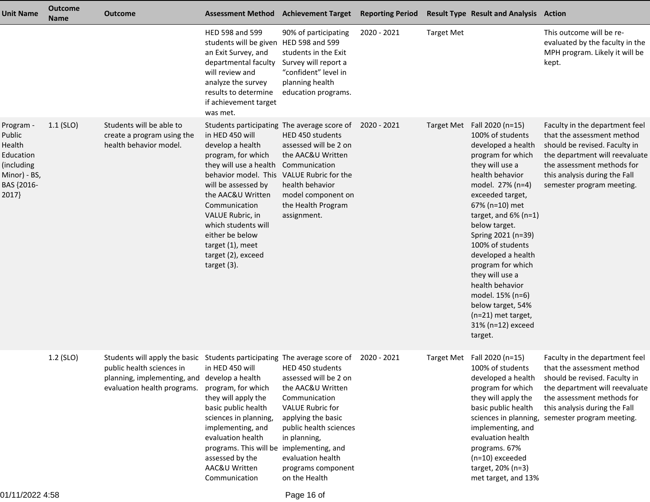| <b>Unit Name</b>                                                                                | <b>Outcome</b><br><b>Name</b> | <b>Outcome</b>                                                                                                                                                       | <b>Assessment Method Achievement Target</b>                                                                                                                                                                                                                                                                                           |                                                                                                                                                                                                                                        | <b>Reporting Period</b> |                   | <b>Result Type Result and Analysis Action</b>                                                                                                                                                                                                                                                                                                                                                                                                                    |                                                                                                                                                                                                                             |
|-------------------------------------------------------------------------------------------------|-------------------------------|----------------------------------------------------------------------------------------------------------------------------------------------------------------------|---------------------------------------------------------------------------------------------------------------------------------------------------------------------------------------------------------------------------------------------------------------------------------------------------------------------------------------|----------------------------------------------------------------------------------------------------------------------------------------------------------------------------------------------------------------------------------------|-------------------------|-------------------|------------------------------------------------------------------------------------------------------------------------------------------------------------------------------------------------------------------------------------------------------------------------------------------------------------------------------------------------------------------------------------------------------------------------------------------------------------------|-----------------------------------------------------------------------------------------------------------------------------------------------------------------------------------------------------------------------------|
|                                                                                                 |                               |                                                                                                                                                                      | HED 598 and 599<br>students will be given HED 598 and 599<br>an Exit Survey, and<br>departmental faculty<br>will review and<br>analyze the survey<br>results to determine<br>if achievement target<br>was met.                                                                                                                        | 90% of participating<br>students in the Exit<br>Survey will report a<br>"confident" level in<br>planning health<br>education programs.                                                                                                 | 2020 - 2021             | <b>Target Met</b> |                                                                                                                                                                                                                                                                                                                                                                                                                                                                  | This outcome will be re-<br>evaluated by the faculty in the<br>MPH program. Likely it will be<br>kept.                                                                                                                      |
| Program -<br>Public<br>Health<br>Education<br>(including<br>Minor) - BS,<br>BAS {2016-<br>2017} | $1.1$ (SLO)                   | Students will be able to<br>create a program using the<br>health behavior model.                                                                                     | in HED 450 will<br>develop a health<br>program, for which<br>they will use a health Communication<br>behavior model. This VALUE Rubric for the<br>will be assessed by<br>the AAC&U Written<br>Communication<br>VALUE Rubric, in<br>which students will<br>either be below<br>target (1), meet<br>target (2), exceed<br>target $(3)$ . | Students participating The average score of 2020 - 2021<br>HED 450 students<br>assessed will be 2 on<br>the AAC&U Written<br>health behavior<br>model component on<br>the Health Program<br>assignment.                                |                         |                   | Target Met Fall 2020 (n=15)<br>100% of students<br>developed a health<br>program for which<br>they will use a<br>health behavior<br>model. 27% (n=4)<br>exceeded target,<br>67% (n=10) met<br>target, and $6\%$ (n=1)<br>below target.<br>Spring 2021 (n=39)<br>100% of students<br>developed a health<br>program for which<br>they will use a<br>health behavior<br>model. 15% (n=6)<br>below target, 54%<br>(n=21) met target,<br>31% (n=12) exceed<br>target. | Faculty in the department feel<br>that the assessment method<br>should be revised. Faculty in<br>the department will reevaluate<br>the assessment methods for<br>this analysis during the Fall<br>semester program meeting. |
|                                                                                                 | 1.2 (SLO)                     | Students will apply the basic Students participating The average score of<br>public health sciences in<br>planning, implementing, and<br>evaluation health programs. | in HED 450 will<br>develop a health<br>program, for which<br>they will apply the<br>basic public health<br>sciences in planning,<br>implementing, and<br>evaluation health<br>programs. This will be implementing, and<br>assessed by the<br>AAC&U Written<br>Communication                                                           | HED 450 students<br>assessed will be 2 on<br>the AAC&U Written<br>Communication<br><b>VALUE Rubric for</b><br>applying the basic<br>public health sciences<br>in planning,<br>evaluation health<br>programs component<br>on the Health | 2020 - 2021             |                   | Target Met Fall 2020 (n=15)<br>100% of students<br>developed a health<br>program for which<br>they will apply the<br>basic public health<br>sciences in planning,<br>implementing, and<br>evaluation health<br>programs. 67%<br>$(n=10)$ exceeded<br>target, 20% (n=3)<br>met target, and 13%                                                                                                                                                                    | Faculty in the department feel<br>that the assessment method<br>should be revised. Faculty in<br>the department will reevaluate<br>the assessment methods for<br>this analysis during the Fall<br>semester program meeting. |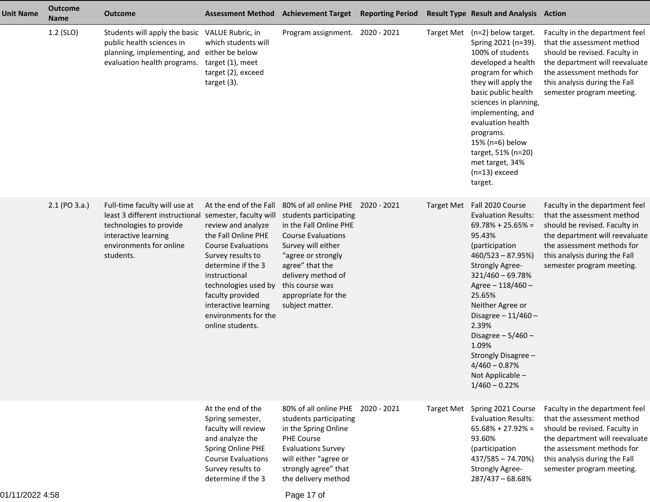| <b>Unit Name</b> | <b>Outcome</b><br><b>Name</b> | <b>Outcome</b>                                                                                                                                              | <b>Assessment Method</b>                                                                                                                                                                                                                                                                               | <b>Achievement Target Reporting Period</b>                                                                                                                                                                                                                           |                   | <b>Result Type Result and Analysis Action</b>                                                                                                                                                                                                                                                                                                                                  |                                                                                                                                                                                                                             |
|------------------|-------------------------------|-------------------------------------------------------------------------------------------------------------------------------------------------------------|--------------------------------------------------------------------------------------------------------------------------------------------------------------------------------------------------------------------------------------------------------------------------------------------------------|----------------------------------------------------------------------------------------------------------------------------------------------------------------------------------------------------------------------------------------------------------------------|-------------------|--------------------------------------------------------------------------------------------------------------------------------------------------------------------------------------------------------------------------------------------------------------------------------------------------------------------------------------------------------------------------------|-----------------------------------------------------------------------------------------------------------------------------------------------------------------------------------------------------------------------------|
|                  | 1.2 (SLO)                     | Students will apply the basic VALUE Rubric, in<br>public health sciences in<br>planning, implementing, and either be below<br>evaluation health programs.   | which students will<br>target (1), meet<br>target (2), exceed<br>target $(3)$ .                                                                                                                                                                                                                        | Program assignment. 2020 - 2021                                                                                                                                                                                                                                      |                   | Target Met (n=2) below target.<br>Spring 2021 (n=39).<br>100% of students<br>developed a health<br>program for which<br>they will apply the<br>basic public health<br>sciences in planning,<br>implementing, and<br>evaluation health<br>programs.<br>15% (n=6) below<br>target, 51% (n=20)<br>met target, 34%<br>$(n=13)$ exceed<br>target.                                   | Faculty in the department feel<br>that the assessment method<br>should be revised. Faculty in<br>the department will reevaluate<br>the assessment methods for<br>this analysis during the Fall<br>semester program meeting. |
|                  | 2.1 (PO 3.a.)                 | Full-time faculty will use at<br>least 3 different instructional<br>technologies to provide<br>interactive learning<br>environments for online<br>students. | At the end of the Fall<br>semester, faculty will<br>review and analyze<br>the Fall Online PHE<br><b>Course Evaluations</b><br>Survey results to<br>determine if the 3<br>instructional<br>technologies used by<br>faculty provided<br>interactive learning<br>environments for the<br>online students. | 80% of all online PHE 2020 - 2021<br>students participating<br>in the Fall Online PHE<br><b>Course Evaluations</b><br>Survey will either<br>"agree or strongly<br>agree" that the<br>delivery method of<br>this course was<br>appropriate for the<br>subject matter. | Target Met        | Fall 2020 Course<br><b>Evaluation Results:</b><br>$69.78\% + 25.65\% =$<br>95.43%<br>(participation<br>$460/523 - 87.95\%)$<br><b>Strongly Agree-</b><br>$321/460 - 69.78%$<br>Agree - 118/460 -<br>25.65%<br>Neither Agree or<br>Disagree $-11/460-$<br>2.39%<br>Disagree $-5/460-$<br>1.09%<br>Strongly Disagree -<br>$4/460 - 0.87%$<br>Not Applicable -<br>$1/460 - 0.22%$ | Faculty in the department feel<br>that the assessment method<br>should be revised. Faculty in<br>the department will reevaluate<br>the assessment methods for<br>this analysis during the Fall<br>semester program meeting. |
|                  |                               |                                                                                                                                                             | At the end of the<br>Spring semester,<br>faculty will review<br>and analyze the<br>Spring Online PHE<br><b>Course Evaluations</b><br>Survey results to<br>determine if the 3                                                                                                                           | 80% of all online PHE 2020 - 2021<br>students participating<br>in the Spring Online<br><b>PHE Course</b><br><b>Evaluations Survey</b><br>will either "agree or<br>strongly agree" that<br>the delivery method                                                        | <b>Target Met</b> | Spring 2021 Course<br><b>Evaluation Results:</b><br>$65.68\% + 27.92\% =$<br>93.60%<br>(participation<br>437/585 - 74.70%)<br><b>Strongly Agree-</b><br>287/437 - 68.68%                                                                                                                                                                                                       | Faculty in the department feel<br>that the assessment method<br>should be revised. Faculty in<br>the department will reevaluate<br>the assessment methods for<br>this analysis during the Fall<br>semester program meeting. |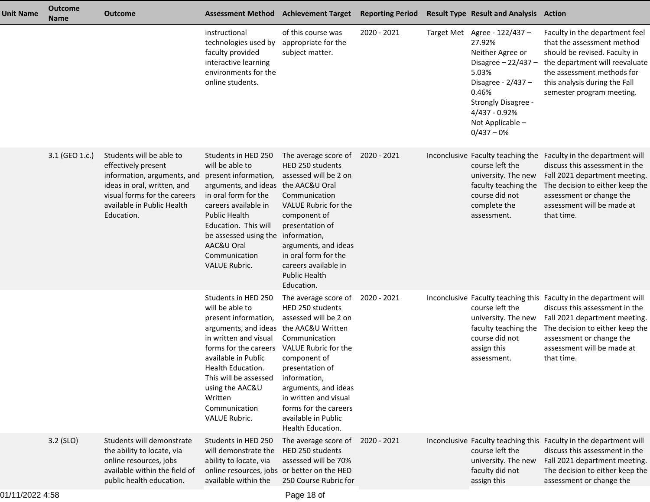| <b>Unit Name</b> | <b>Outcome</b><br><b>Name</b> | <b>Outcome</b>                                                                                                                                                                            | <b>Assessment Method</b>                                                                                                                                                                                                                                                             | <b>Achievement Target Reporting Period</b>                                                                                                                                                                                                                                                               |             | <b>Result Type Result and Analysis Action</b>                                                                                                                                                         |                                                                                                                                                                                                                                                 |
|------------------|-------------------------------|-------------------------------------------------------------------------------------------------------------------------------------------------------------------------------------------|--------------------------------------------------------------------------------------------------------------------------------------------------------------------------------------------------------------------------------------------------------------------------------------|----------------------------------------------------------------------------------------------------------------------------------------------------------------------------------------------------------------------------------------------------------------------------------------------------------|-------------|-------------------------------------------------------------------------------------------------------------------------------------------------------------------------------------------------------|-------------------------------------------------------------------------------------------------------------------------------------------------------------------------------------------------------------------------------------------------|
|                  |                               |                                                                                                                                                                                           | instructional<br>technologies used by<br>faculty provided<br>interactive learning<br>environments for the<br>online students.                                                                                                                                                        | of this course was<br>appropriate for the<br>subject matter.                                                                                                                                                                                                                                             | 2020 - 2021 | Target Met Agree - 122/437 -<br>27.92%<br>Neither Agree or<br>Disagree $-22/437-$<br>5.03%<br>Disagree - 2/437 -<br>0.46%<br>Strongly Disagree -<br>4/437 - 0.92%<br>Not Applicable -<br>$0/437 - 0%$ | Faculty in the department feel<br>that the assessment method<br>should be revised. Faculty in<br>the department will reevaluate<br>the assessment methods for<br>this analysis during the Fall<br>semester program meeting.                     |
|                  | 3.1 (GEO 1.c.)                | Students will be able to<br>effectively present<br>information, arguments, and<br>ideas in oral, written, and<br>visual forms for the careers<br>available in Public Health<br>Education. | Students in HED 250<br>will be able to<br>present information,<br>arguments, and ideas<br>in oral form for the<br>careers available in<br><b>Public Health</b><br>Education. This will<br>be assessed using the information,<br>AAC&U Oral<br>Communication<br><b>VALUE Rubric.</b>  | The average score of<br><b>HED 250 students</b><br>assessed will be 2 on<br>the AAC&U Oral<br>Communication<br>VALUE Rubric for the<br>component of<br>presentation of<br>arguments, and ideas<br>in oral form for the<br>careers available in<br><b>Public Health</b><br>Education.                     | 2020 - 2021 | course left the<br>university. The new<br>faculty teaching the<br>course did not<br>complete the<br>assessment.                                                                                       | Inconclusive Faculty teaching the Faculty in the department will<br>discuss this assessment in the<br>Fall 2021 department meeting.<br>The decision to either keep the<br>assessment or change the<br>assessment will be made at<br>that time.  |
|                  |                               |                                                                                                                                                                                           | Students in HED 250<br>will be able to<br>present information,<br>arguments, and ideas<br>in written and visual<br>forms for the careers<br>available in Public<br>Health Education.<br>This will be assessed<br>using the AAC&U<br>Written<br>Communication<br><b>VALUE Rubric.</b> | The average score of<br>HED 250 students<br>assessed will be 2 on<br>the AAC&U Written<br>Communication<br>VALUE Rubric for the<br>component of<br>presentation of<br>information,<br>arguments, and ideas<br>in written and visual<br>forms for the careers<br>available in Public<br>Health Education. | 2020 - 2021 | course left the<br>university. The new<br>faculty teaching the<br>course did not<br>assign this<br>assessment.                                                                                        | Inconclusive Faculty teaching this Faculty in the department will<br>discuss this assessment in the<br>Fall 2021 department meeting.<br>The decision to either keep the<br>assessment or change the<br>assessment will be made at<br>that time. |
|                  | 3.2 (SLO)                     | Students will demonstrate<br>the ability to locate, via<br>online resources, jobs<br>available within the field of<br>public health education.                                            | Students in HED 250<br>will demonstrate the<br>ability to locate, via<br>online resources, jobs or better on the HED<br>available within the                                                                                                                                         | The average score of<br>HED 250 students<br>assessed will be 70%<br>250 Course Rubric for                                                                                                                                                                                                                | 2020 - 2021 | course left the<br>university. The new<br>faculty did not<br>assign this                                                                                                                              | Inconclusive Faculty teaching this Faculty in the department will<br>discuss this assessment in the<br>Fall 2021 department meeting.<br>The decision to either keep the<br>assessment or change the                                             |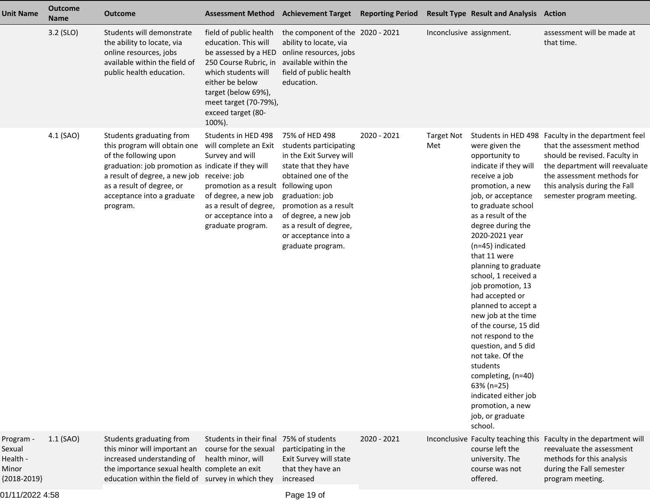| <b>Unit Name</b>                                          | <b>Outcome</b><br><b>Name</b> | <b>Outcome</b>                                                                                                                                                                                                                                               | <b>Assessment Method</b>                                                                                                                                                                                                  | <b>Achievement Target</b>                                                                                                                                                                                                                                                       | <b>Reporting Period</b> |                          | <b>Result Type Result and Analysis Action</b>                                                                                                                                                                                                                                                                                                                                                                                                                                                                                                                                                          |                                                                                                                                                                                                                                                 |
|-----------------------------------------------------------|-------------------------------|--------------------------------------------------------------------------------------------------------------------------------------------------------------------------------------------------------------------------------------------------------------|---------------------------------------------------------------------------------------------------------------------------------------------------------------------------------------------------------------------------|---------------------------------------------------------------------------------------------------------------------------------------------------------------------------------------------------------------------------------------------------------------------------------|-------------------------|--------------------------|--------------------------------------------------------------------------------------------------------------------------------------------------------------------------------------------------------------------------------------------------------------------------------------------------------------------------------------------------------------------------------------------------------------------------------------------------------------------------------------------------------------------------------------------------------------------------------------------------------|-------------------------------------------------------------------------------------------------------------------------------------------------------------------------------------------------------------------------------------------------|
|                                                           | 3.2 (SLO)                     | Students will demonstrate<br>the ability to locate, via<br>online resources, jobs<br>available within the field of<br>public health education.                                                                                                               | field of public health<br>education. This will<br>be assessed by a HED<br>250 Course Rubric, in<br>which students will<br>either be below<br>target (below 69%),<br>meet target (70-79%),<br>exceed target (80-<br>100%). | the component of the 2020 - 2021<br>ability to locate, via<br>online resources, jobs<br>available within the<br>field of public health<br>education.                                                                                                                            |                         | Inconclusive assignment. |                                                                                                                                                                                                                                                                                                                                                                                                                                                                                                                                                                                                        | assessment will be made at<br>that time.                                                                                                                                                                                                        |
|                                                           | 4.1 (SAO)                     | Students graduating from<br>this program will obtain one<br>of the following upon<br>graduation: job promotion as indicate if they will<br>a result of degree, a new job receive: job<br>as a result of degree, or<br>acceptance into a graduate<br>program. | Students in HED 498<br>will complete an Exit<br>Survey and will<br>promotion as a result<br>of degree, a new job<br>as a result of degree,<br>or acceptance into a<br>graduate program.                                   | 75% of HED 498<br>students participating<br>in the Exit Survey will<br>state that they have<br>obtained one of the<br>following upon<br>graduation: job<br>promotion as a result<br>of degree, a new job<br>as a result of degree,<br>or acceptance into a<br>graduate program. | 2020 - 2021             | <b>Target Not</b><br>Met | were given the<br>opportunity to<br>indicate if they will<br>receive a job<br>promotion, a new<br>job, or acceptance<br>to graduate school<br>as a result of the<br>degree during the<br>2020-2021 year<br>(n=45) indicated<br>that 11 were<br>planning to graduate<br>school, 1 received a<br>job promotion, 13<br>had accepted or<br>planned to accept a<br>new job at the time<br>of the course, 15 did<br>not respond to the<br>question, and 5 did<br>not take. Of the<br>students<br>completing, (n=40)<br>63% (n=25)<br>indicated either job<br>promotion, a new<br>job, or graduate<br>school. | Students in HED 498 Faculty in the department feel<br>that the assessment method<br>should be revised. Faculty in<br>the department will reevaluate<br>the assessment methods for<br>this analysis during the Fall<br>semester program meeting. |
| Program -<br>Sexual<br>Health -<br>Minor<br>${2018-2019}$ | $1.1$ (SAO)                   | Students graduating from<br>this minor will important an<br>increased understanding of<br>the importance sexual health complete an exit<br>education within the field of survey in which they                                                                | Students in their final<br>course for the sexual<br>health minor, will                                                                                                                                                    | 75% of students<br>participating in the<br>Exit Survey will state<br>that they have an<br>increased                                                                                                                                                                             | 2020 - 2021             |                          | Inconclusive Faculty teaching this<br>course left the<br>university. The<br>course was not<br>offered.                                                                                                                                                                                                                                                                                                                                                                                                                                                                                                 | Faculty in the department will<br>reevaluate the assessment<br>methods for this analysis<br>during the Fall semester<br>program meeting.                                                                                                        |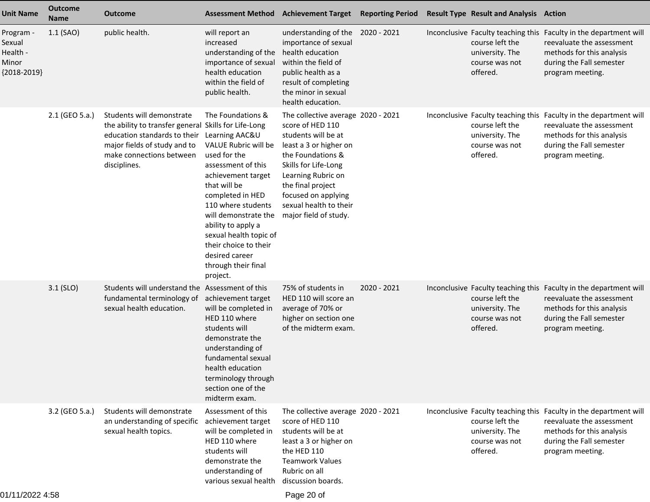| <b>Unit Name</b>                                          | <b>Outcome</b><br><b>Name</b> | <b>Outcome</b>                                                                                                                                                                                | <b>Assessment Method</b>                                                                                                                                                                                                                                                                                                                | <b>Achievement Target</b>                                                                                                                                                                                                                                                 | <b>Reporting Period</b> | <b>Result Type Result and Analysis Action</b>                    |                                                                                                                                                                             |
|-----------------------------------------------------------|-------------------------------|-----------------------------------------------------------------------------------------------------------------------------------------------------------------------------------------------|-----------------------------------------------------------------------------------------------------------------------------------------------------------------------------------------------------------------------------------------------------------------------------------------------------------------------------------------|---------------------------------------------------------------------------------------------------------------------------------------------------------------------------------------------------------------------------------------------------------------------------|-------------------------|------------------------------------------------------------------|-----------------------------------------------------------------------------------------------------------------------------------------------------------------------------|
| Program -<br>Sexual<br>Health -<br>Minor<br>${2018-2019}$ | $1.1$ (SAO)                   | public health.                                                                                                                                                                                | will report an<br>increased<br>understanding of the<br>importance of sexual<br>health education<br>within the field of<br>public health.                                                                                                                                                                                                | understanding of the 2020 - 2021<br>importance of sexual<br>health education<br>within the field of<br>public health as a<br>result of completing<br>the minor in sexual<br>health education.                                                                             |                         | course left the<br>university. The<br>course was not<br>offered. | Inconclusive Faculty teaching this Faculty in the department will<br>reevaluate the assessment<br>methods for this analysis<br>during the Fall semester<br>program meeting. |
|                                                           | 2.1 (GEO 5.a.)                | Students will demonstrate<br>the ability to transfer general Skills for Life-Long<br>education standards to their<br>major fields of study and to<br>make connections between<br>disciplines. | The Foundations &<br>Learning AAC&U<br>VALUE Rubric will be<br>used for the<br>assessment of this<br>achievement target<br>that will be<br>completed in HED<br>110 where students<br>will demonstrate the<br>ability to apply a<br>sexual health topic of<br>their choice to their<br>desired career<br>through their final<br>project. | The collective average 2020 - 2021<br>score of HED 110<br>students will be at<br>least a 3 or higher on<br>the Foundations &<br>Skills for Life-Long<br>Learning Rubric on<br>the final project<br>focused on applying<br>sexual health to their<br>major field of study. |                         | course left the<br>university. The<br>course was not<br>offered. | Inconclusive Faculty teaching this Faculty in the department will<br>reevaluate the assessment<br>methods for this analysis<br>during the Fall semester<br>program meeting. |
|                                                           | 3.1 (SLO)                     | Students will understand the Assessment of this<br>fundamental terminology of achievement target<br>sexual health education.                                                                  | will be completed in<br>HED 110 where<br>students will<br>demonstrate the<br>understanding of<br>fundamental sexual<br>health education<br>terminology through<br>section one of the<br>midterm exam.                                                                                                                                   | 75% of students in<br>HED 110 will score an<br>average of 70% or<br>higher on section one<br>of the midterm exam.                                                                                                                                                         | 2020 - 2021             | course left the<br>university. The<br>course was not<br>offered. | Inconclusive Faculty teaching this Faculty in the department will<br>reevaluate the assessment<br>methods for this analysis<br>during the Fall semester<br>program meeting. |
|                                                           | 3.2 (GEO 5.a.)                | Students will demonstrate<br>an understanding of specific<br>sexual health topics.                                                                                                            | Assessment of this<br>achievement target<br>will be completed in<br>HED 110 where<br>students will<br>demonstrate the<br>understanding of<br>various sexual health                                                                                                                                                                      | The collective average 2020 - 2021<br>score of HED 110<br>students will be at<br>least a 3 or higher on<br>the HED 110<br><b>Teamwork Values</b><br>Rubric on all<br>discussion boards.                                                                                   |                         | course left the<br>university. The<br>course was not<br>offered. | Inconclusive Faculty teaching this Faculty in the department will<br>reevaluate the assessment<br>methods for this analysis<br>during the Fall semester<br>program meeting. |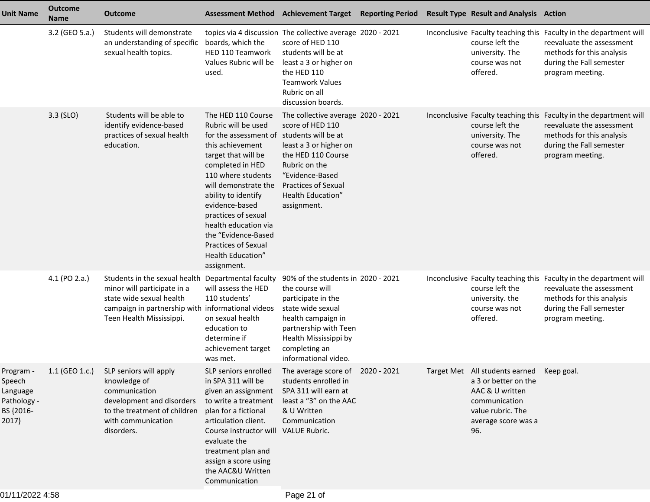| Unit Name                                                           | <b>Outcome</b><br><b>Name</b> | <b>Outcome</b>                                                                                                                                                            | <b>Assessment Method</b>                                                                                                                                                                                                                                                                                                                                         | <b>Achievement Target Reporting Period</b>                                                                                                                                                                                          |  | <b>Result Type Result and Analysis Action</b>                                                                                                            |                                                                                                                                                                             |
|---------------------------------------------------------------------|-------------------------------|---------------------------------------------------------------------------------------------------------------------------------------------------------------------------|------------------------------------------------------------------------------------------------------------------------------------------------------------------------------------------------------------------------------------------------------------------------------------------------------------------------------------------------------------------|-------------------------------------------------------------------------------------------------------------------------------------------------------------------------------------------------------------------------------------|--|----------------------------------------------------------------------------------------------------------------------------------------------------------|-----------------------------------------------------------------------------------------------------------------------------------------------------------------------------|
|                                                                     | 3.2 (GEO 5.a.)                | Students will demonstrate<br>an understanding of specific<br>sexual health topics.                                                                                        | boards, which the<br>HED 110 Teamwork<br>Values Rubric will be<br>used.                                                                                                                                                                                                                                                                                          | topics via 4 discussion The collective average 2020 - 2021<br>score of HED 110<br>students will be at<br>least a 3 or higher on<br>the HED 110<br><b>Teamwork Values</b><br>Rubric on all<br>discussion boards.                     |  | course left the<br>university. The<br>course was not<br>offered.                                                                                         | Inconclusive Faculty teaching this Faculty in the department will<br>reevaluate the assessment<br>methods for this analysis<br>during the Fall semester<br>program meeting. |
|                                                                     | $3.3$ (SLO)                   | Students will be able to<br>identify evidence-based<br>practices of sexual health<br>education.                                                                           | The HED 110 Course<br>Rubric will be used<br>for the assessment of<br>this achievement<br>target that will be<br>completed in HED<br>110 where students<br>will demonstrate the<br>ability to identify<br>evidence-based<br>practices of sexual<br>health education via<br>the "Evidence-Based<br><b>Practices of Sexual</b><br>Health Education"<br>assignment. | The collective average 2020 - 2021<br>score of HED 110<br>students will be at<br>least a 3 or higher on<br>the HED 110 Course<br>Rubric on the<br>"Evidence-Based<br><b>Practices of Sexual</b><br>Health Education"<br>assignment. |  | course left the<br>university. The<br>course was not<br>offered.                                                                                         | Inconclusive Faculty teaching this Faculty in the department will<br>reevaluate the assessment<br>methods for this analysis<br>during the Fall semester<br>program meeting. |
|                                                                     | 4.1 (PO 2.a.)                 | Students in the sexual health<br>minor will participate in a<br>state wide sexual health<br>campaign in partnership with informational videos<br>Teen Health Mississippi. | Departmental faculty<br>will assess the HED<br>110 students'<br>on sexual health<br>education to<br>determine if<br>achievement target<br>was met.                                                                                                                                                                                                               | 90% of the students in 2020 - 2021<br>the course will<br>participate in the<br>state wide sexual<br>health campaign in<br>partnership with Teen<br>Health Mississippi by<br>completing an<br>informational video.                   |  | course left the<br>university. the<br>course was not<br>offered.                                                                                         | Inconclusive Faculty teaching this Faculty in the department will<br>reevaluate the assessment<br>methods for this analysis<br>during the Fall semester<br>program meeting. |
| Program -<br>Speech<br>Language<br>Pathology -<br>BS {2016-<br>2017 |                               | 1.1 (GEO 1.c.) SLP seniors will apply<br>knowledge of<br>communication<br>development and disorders<br>to the treatment of children<br>with communication<br>disorders.   | SLP seniors enrolled<br>in SPA 311 will be<br>given an assignment<br>to write a treatment<br>plan for a fictional<br>articulation client.<br>Course instructor will VALUE Rubric.<br>evaluate the<br>treatment plan and<br>assign a score using<br>the AAC&U Written<br>Communication                                                                            | The average score of 2020 - 2021<br>students enrolled in<br>SPA 311 will earn at<br>least a "3" on the AAC<br>& U Written<br>Communication                                                                                          |  | Target Met All students earned Keep goal.<br>a 3 or better on the<br>AAC & U written<br>communication<br>value rubric. The<br>average score was a<br>96. |                                                                                                                                                                             |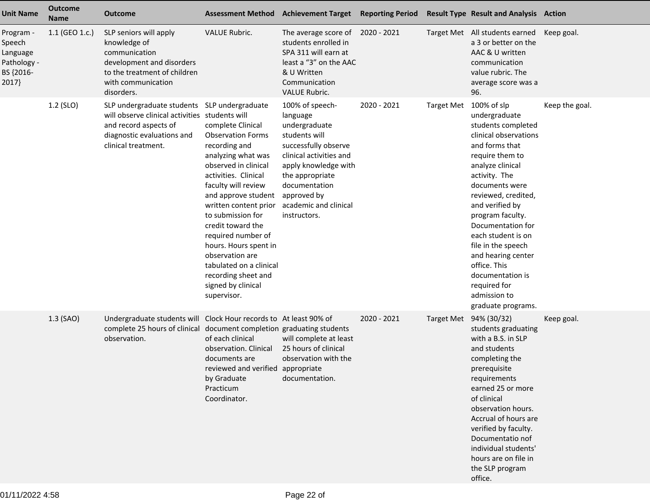| <b>Unit Name</b>                                                     | <b>Outcome</b><br><b>Name</b> | <b>Outcome</b>                                                                                                                                                               | <b>Assessment Method</b>                                                                                                                                                                                                                                                                                                                                                                                       | <b>Achievement Target</b>                                                                                                                                                                                                            | <b>Reporting Period</b> |                   | <b>Result Type Result and Analysis Action</b>                                                                                                                                                                                                                                                                                                                                                                          |                |
|----------------------------------------------------------------------|-------------------------------|------------------------------------------------------------------------------------------------------------------------------------------------------------------------------|----------------------------------------------------------------------------------------------------------------------------------------------------------------------------------------------------------------------------------------------------------------------------------------------------------------------------------------------------------------------------------------------------------------|--------------------------------------------------------------------------------------------------------------------------------------------------------------------------------------------------------------------------------------|-------------------------|-------------------|------------------------------------------------------------------------------------------------------------------------------------------------------------------------------------------------------------------------------------------------------------------------------------------------------------------------------------------------------------------------------------------------------------------------|----------------|
| Program -<br>Speech<br>Language<br>Pathology -<br>BS {2016-<br>2017} | 1.1 (GEO 1.c.)                | SLP seniors will apply<br>knowledge of<br>communication<br>development and disorders<br>to the treatment of children<br>with communication<br>disorders.                     | <b>VALUE Rubric.</b>                                                                                                                                                                                                                                                                                                                                                                                           | The average score of 2020 - 2021<br>students enrolled in<br>SPA 311 will earn at<br>least a "3" on the AAC<br>& U Written<br>Communication<br><b>VALUE Rubric.</b>                                                                   |                         |                   | Target Met All students earned<br>a 3 or better on the<br>AAC & U written<br>communication<br>value rubric. The<br>average score was a<br>96.                                                                                                                                                                                                                                                                          | Keep goal.     |
|                                                                      | 1.2 (SLO)                     | SLP undergraduate students SLP undergraduate<br>will observe clinical activities students will<br>and record aspects of<br>diagnostic evaluations and<br>clinical treatment. | complete Clinical<br><b>Observation Forms</b><br>recording and<br>analyzing what was<br>observed in clinical<br>activities. Clinical<br>faculty will review<br>and approve student<br>written content prior<br>to submission for<br>credit toward the<br>required number of<br>hours. Hours spent in<br>observation are<br>tabulated on a clinical<br>recording sheet and<br>signed by clinical<br>supervisor. | 100% of speech-<br>language<br>undergraduate<br>students will<br>successfully observe<br>clinical activities and<br>apply knowledge with<br>the appropriate<br>documentation<br>approved by<br>academic and clinical<br>instructors. | 2020 - 2021             | <b>Target Met</b> | 100% of slp<br>undergraduate<br>students completed<br>clinical observations<br>and forms that<br>require them to<br>analyze clinical<br>activity. The<br>documents were<br>reviewed, credited,<br>and verified by<br>program faculty.<br>Documentation for<br>each student is on<br>file in the speech<br>and hearing center<br>office. This<br>documentation is<br>required for<br>admission to<br>graduate programs. | Keep the goal. |
|                                                                      | 1.3 (SAO)                     | Undergraduate students will Clock Hour records to At least 90% of<br>complete 25 hours of clinical document completion graduating students<br>observation.                   | of each clinical<br>observation. Clinical<br>documents are<br>reviewed and verified appropriate<br>by Graduate<br>Practicum<br>Coordinator.                                                                                                                                                                                                                                                                    | will complete at least<br>25 hours of clinical<br>observation with the<br>documentation.                                                                                                                                             | 2020 - 2021             |                   | Target Met 94% (30/32)<br>students graduating<br>with a B.S. in SLP<br>and students<br>completing the<br>prerequisite<br>requirements<br>earned 25 or more<br>of clinical<br>observation hours.<br>Accrual of hours are<br>verified by faculty.<br>Documentatio nof<br>individual students'<br>hours are on file in<br>the SLP program<br>office.                                                                      | Keep goal.     |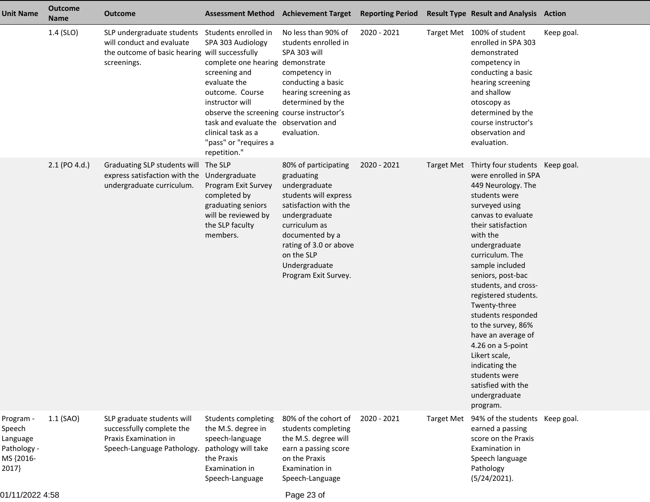| <b>Unit Name</b>                                                     | <b>Outcome</b><br><b>Name</b> | <b>Outcome</b>                                                                                                           |                                                                                                                                                                                                                                                                                                           | Assessment Method Achievement Target Reporting Period                                                                                                                                                                                       |             |                   | <b>Result Type Result and Analysis Action</b>                                                                                                                                                                                                                                                                                                                                                                                                                                                                      |            |
|----------------------------------------------------------------------|-------------------------------|--------------------------------------------------------------------------------------------------------------------------|-----------------------------------------------------------------------------------------------------------------------------------------------------------------------------------------------------------------------------------------------------------------------------------------------------------|---------------------------------------------------------------------------------------------------------------------------------------------------------------------------------------------------------------------------------------------|-------------|-------------------|--------------------------------------------------------------------------------------------------------------------------------------------------------------------------------------------------------------------------------------------------------------------------------------------------------------------------------------------------------------------------------------------------------------------------------------------------------------------------------------------------------------------|------------|
|                                                                      | 1.4 (SLO)                     | SLP undergraduate students<br>will conduct and evaluate<br>the outcome of basic hearing will successfully<br>screenings. | Students enrolled in<br>SPA 303 Audiology<br>complete one hearing demonstrate<br>screening and<br>evaluate the<br>outcome. Course<br>instructor will<br>observe the screening course instructor's<br>task and evaluate the observation and<br>clinical task as a<br>"pass" or "requires a<br>repetition." | No less than 90% of<br>students enrolled in<br>SPA 303 will<br>competency in<br>conducting a basic<br>hearing screening as<br>determined by the<br>evaluation.                                                                              | 2020 - 2021 |                   | Target Met 100% of student<br>enrolled in SPA 303<br>demonstrated<br>competency in<br>conducting a basic<br>hearing screening<br>and shallow<br>otoscopy as<br>determined by the<br>course instructor's<br>observation and<br>evaluation.                                                                                                                                                                                                                                                                          | Keep goal. |
|                                                                      | 2.1 (PO 4.d.)                 | Graduating SLP students will<br>express satisfaction with the<br>undergraduate curriculum.                               | The SLP<br>Undergraduate<br>Program Exit Survey<br>completed by<br>graduating seniors<br>will be reviewed by<br>the SLP faculty<br>members.                                                                                                                                                               | 80% of participating<br>graduating<br>undergraduate<br>students will express<br>satisfaction with the<br>undergraduate<br>curriculum as<br>documented by a<br>rating of 3.0 or above<br>on the SLP<br>Undergraduate<br>Program Exit Survey. | 2020 - 2021 | <b>Target Met</b> | Thirty four students Keep goal.<br>were enrolled in SPA<br>449 Neurology. The<br>students were<br>surveyed using<br>canvas to evaluate<br>their satisfaction<br>with the<br>undergraduate<br>curriculum. The<br>sample included<br>seniors, post-bac<br>students, and cross-<br>registered students.<br>Twenty-three<br>students responded<br>to the survey, 86%<br>have an average of<br>4.26 on a 5-point<br>Likert scale,<br>indicating the<br>students were<br>satisfied with the<br>undergraduate<br>program. |            |
| Program -<br>Speech<br>Language<br>Pathology -<br>MS {2016-<br>2017} | $1.1$ (SAO)                   | SLP graduate students will<br>successfully complete the<br>Praxis Examination in<br>Speech-Language Pathology.           | Students completing<br>the M.S. degree in<br>speech-language<br>pathology will take<br>the Praxis<br>Examination in<br>Speech-Language                                                                                                                                                                    | 80% of the cohort of<br>students completing<br>the M.S. degree will<br>earn a passing score<br>on the Praxis<br>Examination in<br>Speech-Language                                                                                           | 2020 - 2021 | <b>Target Met</b> | 94% of the students Keep goal.<br>earned a passing<br>score on the Praxis<br>Examination in<br>Speech language<br>Pathology<br>(5/24/2021).                                                                                                                                                                                                                                                                                                                                                                        |            |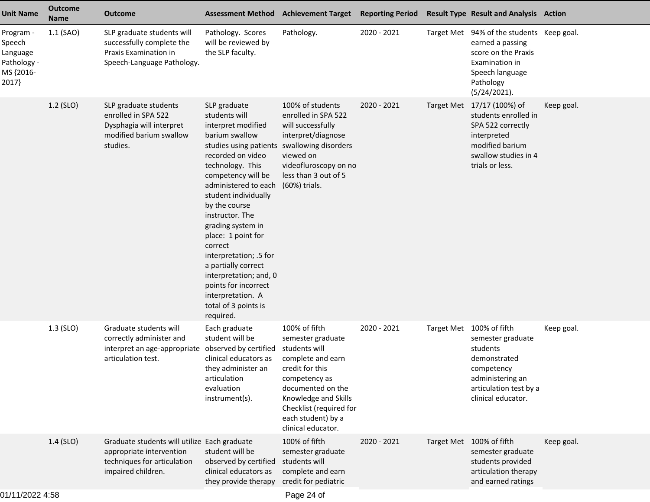| <b>Unit Name</b>                                                     | <b>Outcome</b><br>Name | <b>Outcome</b>                                                                                                                 |                                                                                                                                                                                                                                                                                                                                                                                                                                                                                            | Assessment Method Achievement Target Reporting Period                                                                                                                                                                            |             |                   | <b>Result Type Result and Analysis Action</b>                                                                                                               |            |
|----------------------------------------------------------------------|------------------------|--------------------------------------------------------------------------------------------------------------------------------|--------------------------------------------------------------------------------------------------------------------------------------------------------------------------------------------------------------------------------------------------------------------------------------------------------------------------------------------------------------------------------------------------------------------------------------------------------------------------------------------|----------------------------------------------------------------------------------------------------------------------------------------------------------------------------------------------------------------------------------|-------------|-------------------|-------------------------------------------------------------------------------------------------------------------------------------------------------------|------------|
| Program -<br>Speech<br>Language<br>Pathology -<br>MS {2016-<br>2017} | 1.1 (SAO)              | SLP graduate students will<br>successfully complete the<br>Praxis Examination in<br>Speech-Language Pathology.                 | Pathology. Scores<br>will be reviewed by<br>the SLP faculty.                                                                                                                                                                                                                                                                                                                                                                                                                               | Pathology.                                                                                                                                                                                                                       | 2020 - 2021 |                   | Target Met 94% of the students Keep goal.<br>earned a passing<br>score on the Praxis<br>Examination in<br>Speech language<br>Pathology<br>(5/24/2021).      |            |
|                                                                      | 1.2 (SLO)              | SLP graduate students<br>enrolled in SPA 522<br>Dysphagia will interpret<br>modified barium swallow<br>studies.                | SLP graduate<br>students will<br>interpret modified<br>barium swallow<br>studies using patients swallowing disorders<br>recorded on video<br>technology. This<br>competency will be<br>administered to each<br>student individually<br>by the course<br>instructor. The<br>grading system in<br>place: 1 point for<br>correct<br>interpretation; .5 for<br>a partially correct<br>interpretation; and, 0<br>points for incorrect<br>interpretation. A<br>total of 3 points is<br>required. | 100% of students<br>enrolled in SPA 522<br>will successfully<br>interpret/diagnose<br>viewed on<br>videofluroscopy on no<br>less than 3 out of 5<br>(60%) trials.                                                                | 2020 - 2021 | <b>Target Met</b> | 17/17 (100%) of<br>students enrolled in<br>SPA 522 correctly<br>interpreted<br>modified barium<br>swallow studies in 4<br>trials or less.                   | Keep goal. |
|                                                                      | $1.3$ (SLO)            | Graduate students will<br>correctly administer and<br>interpret an age-appropriate observed by certified<br>articulation test. | Each graduate<br>student will be<br>clinical educators as<br>they administer an<br>articulation<br>evaluation<br>instrument(s).                                                                                                                                                                                                                                                                                                                                                            | 100% of fifth<br>semester graduate<br>students will<br>complete and earn<br>credit for this<br>competency as<br>documented on the<br>Knowledge and Skills<br>Checklist (required for<br>each student) by a<br>clinical educator. | 2020 - 2021 |                   | Target Met 100% of fifth<br>semester graduate<br>students<br>demonstrated<br>competency<br>administering an<br>articulation test by a<br>clinical educator. | Keep goal. |
|                                                                      | 1.4 (SLO)              | Graduate students will utilize Each graduate<br>appropriate intervention<br>techniques for articulation<br>impaired children.  | student will be<br>observed by certified<br>clinical educators as<br>they provide therapy                                                                                                                                                                                                                                                                                                                                                                                                  | 100% of fifth<br>semester graduate<br>students will<br>complete and earn<br>credit for pediatric                                                                                                                                 | 2020 - 2021 |                   | Target Met 100% of fifth<br>semester graduate<br>students provided<br>articulation therapy<br>and earned ratings                                            | Keep goal. |